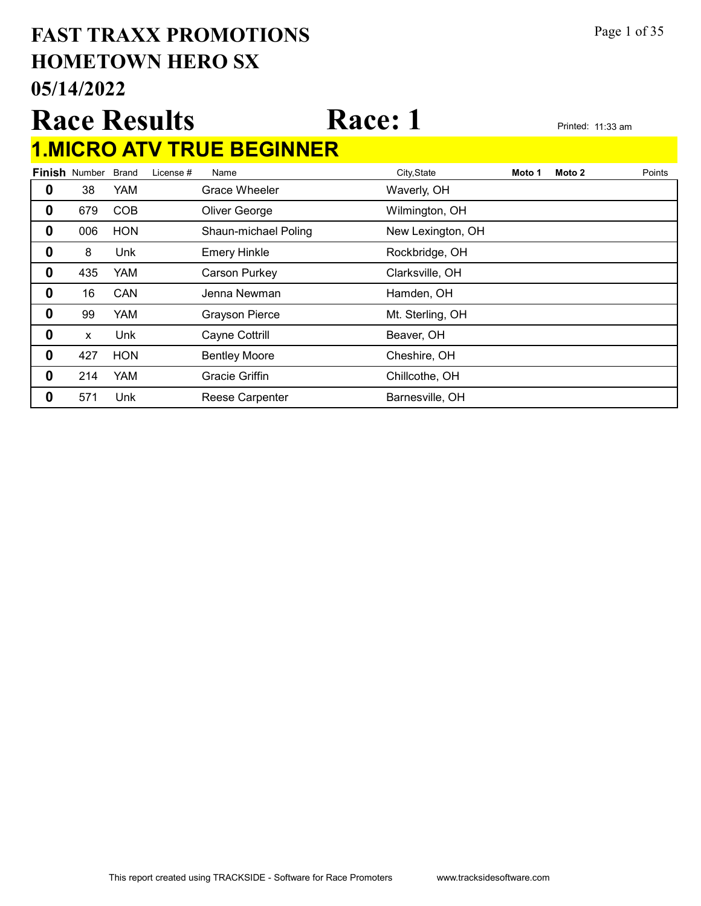#### 05/14/2022 HOMETOWN HERO SX FAST TRAXX PROMOTIONS Page 1 of 35

#### Race Results Race: 1 1.MICRO ATV TRUE BEGINNER

|   | <b>Finish Number</b> | <b>Brand</b> | License # | Name                   | City, State       | Moto 1 | Moto 2 | Points |
|---|----------------------|--------------|-----------|------------------------|-------------------|--------|--------|--------|
| 0 | 38                   | <b>YAM</b>   |           | Grace Wheeler          | Waverly, OH       |        |        |        |
| 0 | 679                  | <b>COB</b>   |           | Oliver George          | Wilmington, OH    |        |        |        |
| 0 | 006                  | <b>HON</b>   |           | Shaun-michael Poling   | New Lexington, OH |        |        |        |
| 0 | 8                    | Unk          |           | <b>Emery Hinkle</b>    | Rockbridge, OH    |        |        |        |
| 0 | 435                  | <b>YAM</b>   |           | Carson Purkey          | Clarksville, OH   |        |        |        |
| 0 | 16                   | CAN          |           | Jenna Newman           | Hamden, OH        |        |        |        |
| 0 | 99                   | <b>YAM</b>   |           | <b>Grayson Pierce</b>  | Mt. Sterling, OH  |        |        |        |
| 0 | X                    | Unk          |           | Cayne Cottrill         | Beaver, OH        |        |        |        |
| 0 | 427                  | <b>HON</b>   |           | <b>Bentley Moore</b>   | Cheshire, OH      |        |        |        |
| 0 | 214                  | <b>YAM</b>   |           | <b>Gracie Griffin</b>  | Chillcothe, OH    |        |        |        |
| 0 | 571                  | Unk          |           | <b>Reese Carpenter</b> | Barnesville, OH   |        |        |        |
|   |                      |              |           |                        |                   |        |        |        |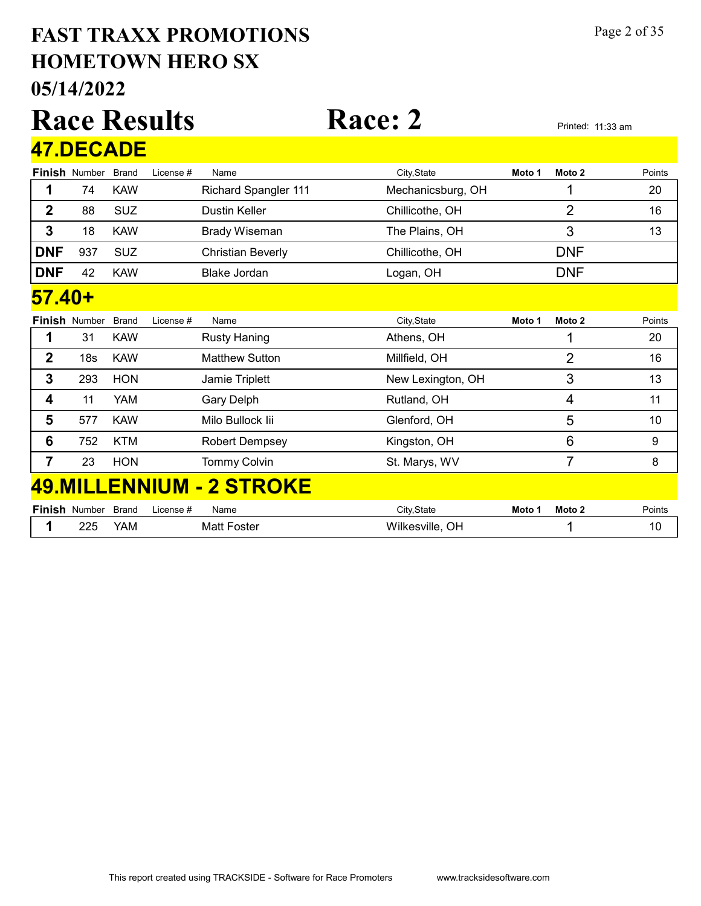#### 05/14/2022 HOMETOWN HERO SX FAST TRAXX PROMOTIONS Page 2 of 35

#### Race Results Race: 2 Printed: 11:33 am Finish Number Brand 47.DECADE Brand License # Name City,State **Moto 1 Moto 2** Points 1 74 KAW Richard Spangler 111 Mechanicsburg, OH 1 20 2 88 SUZ Dustin Keller Chillicothe, OH 16 3 18 KAW Brady Wiseman The Plains, OH 3 3 13 **DNF** 937 SUZ Christian Beverly Chillicothe, OH DNF **DNF** 42 KAW Blake Jordan **Logan, OH** DNF Finish Number Brand 57.40+ Brand License # Name City,State **Moto 1 Moto 2** Points **1** 31 KAW Rusty Haning **Athens**, OH 20 2 18s KAW Matthew Sutton Millfield, OH 16 2 16 **3** 293 HON Jamie Triplett New Lexington, OH 3 3 13 **4** 11 YAM Gary Delph Rutland, OH 4 4 11 5 577 KAW Milo Bullock Iii **Glenford, OH** 5 5 5 10 **6** 752 KTM Robert Dempsey **Kingston, OH** 6 6 9 **7** 23 HON Tommy Colvin **St. Marys, WV** 7 7 8 Finish Number 49.MILLENNIUM - 2 STROKE Brand License # Name City,State **Moto 1 Moto 2** Points

| Number                                                       | Brand | icense<br>Name | .<br>$\sim$ $\sim$<br>Эħ<br>∵ Jldlu                       | Moto | Moto | oints' |
|--------------------------------------------------------------|-------|----------------|-----------------------------------------------------------|------|------|--------|
| במר<br>--<br>the contract of the contract of the contract of | ≚AM∟  |                | <br>.<br>-<br>VIIIE<br>$\sim$ $\sim$ $\sim$ $\sim$ $\sim$ |      |      |        |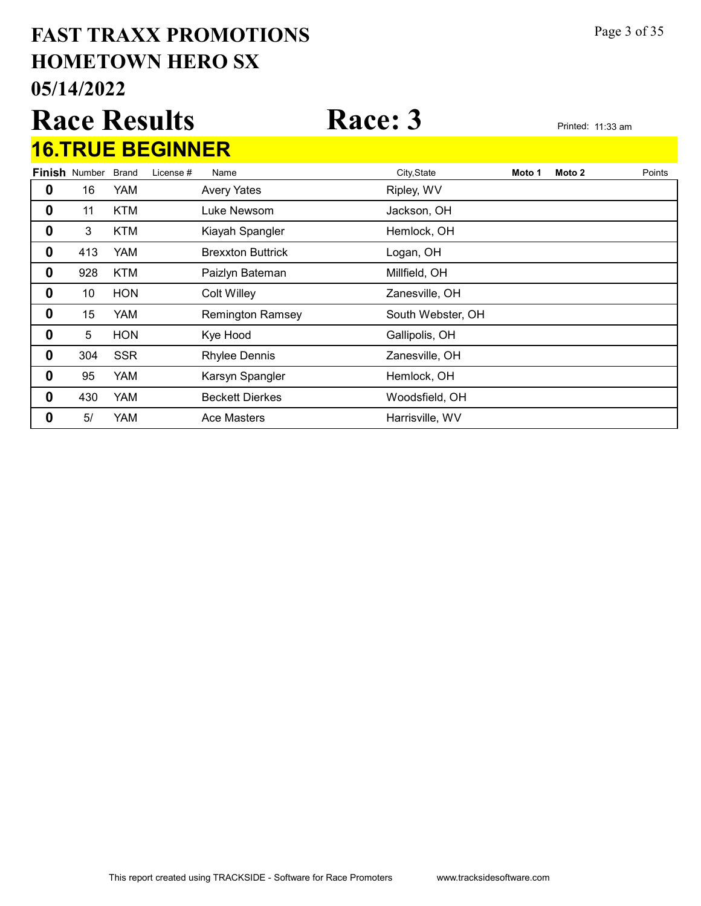#### 05/14/2022 HOMETOWN HERO SX FAST TRAXX PROMOTIONS Page 3 of 35

|                  |                            |            | <b>Race Results</b>     |                          | <b>Race: 3</b> |        | Printed: 11:33 am |        |
|------------------|----------------------------|------------|-------------------------|--------------------------|----------------|--------|-------------------|--------|
|                  |                            |            | <b>16.TRUE BEGINNER</b> |                          |                |        |                   |        |
|                  | <b>Finish Number Brand</b> |            | License #               | Name                     | City, State    | Moto 1 | Moto 2            | Points |
| 0                | 16                         | YAM        |                         | <b>Avery Yates</b>       | Ripley, WV     |        |                   |        |
| 0                | 11                         | <b>KTM</b> |                         | Luke Newsom              | Jackson, OH    |        |                   |        |
| $\boldsymbol{0}$ | 3                          | <b>KTM</b> |                         | Kiayah Spangler          | Hemlock, OH    |        |                   |        |
| 0                | 413                        | <b>YAM</b> |                         | <b>Brexxton Buttrick</b> | Logan, OH      |        |                   |        |
| 0                | 928                        | <b>KTM</b> |                         | Paizlyn Bateman          | Millfield, OH  |        |                   |        |

**0** 10 HON Colt Willey **Cole Colt Access** 2anesville, OH

 5 HON Kye Hood **Gallipolis**, OH 304 SSR Rhylee Dennis **Zanesville, OH** 0 95 YAM Karsyn Spangler Hemlock, OH 430 YAM Beckett Dierkes Woodsfield, OH 5/ YAM Ace Masters **Harrisville, WV** 

**0** 15 YAM Remington Ramsey South Webster, OH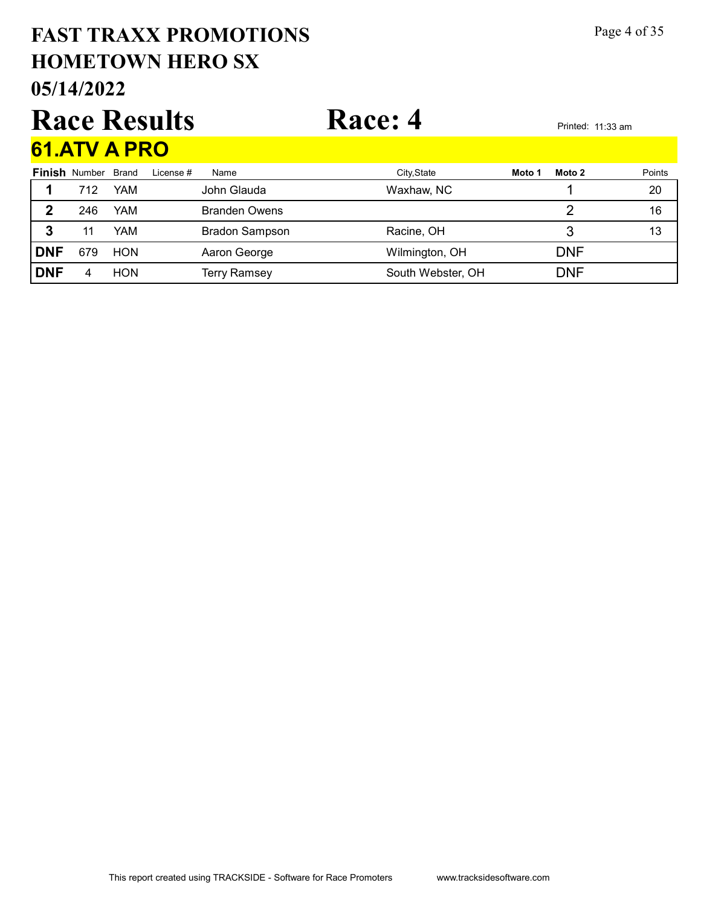#### 05/14/2022 HOMETOWN HERO SX FAST TRAXX PROMOTIONS Page 4 of 35

#### Race Results Race: 4 Printed: 11:33 am 61.ATV A PRO

|             | <u>VIIAI Y A I IW</u> |            |           |                       |                   |        |            |        |
|-------------|-----------------------|------------|-----------|-----------------------|-------------------|--------|------------|--------|
|             | <b>Finish Number</b>  | Brand      | License # | Name                  | City, State       | Moto 1 | Moto 2     | Points |
| 1           | 712                   | <b>YAM</b> |           | John Glauda           | Waxhaw, NC        |        |            | 20     |
| $\mathbf 2$ | 246                   | YAM        |           | <b>Branden Owens</b>  |                   |        |            | 16     |
| 3           |                       | YAM        |           | <b>Bradon Sampson</b> | Racine, OH        |        |            | 13     |
| <b>DNF</b>  | 679                   | <b>HON</b> |           | Aaron George          | Wilmington, OH    |        | <b>DNF</b> |        |
| <b>DNF</b>  | 4                     | <b>HON</b> |           | <b>Terry Ramsey</b>   | South Webster, OH |        | <b>DNF</b> |        |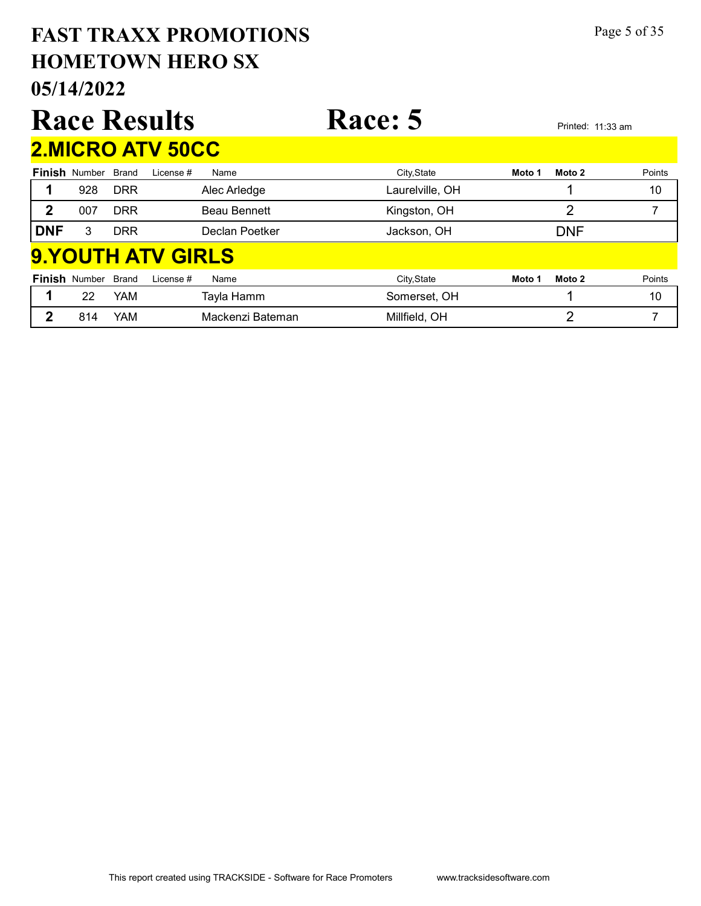#### 05/14/2022 HOMETOWN HERO SX FAST TRAXX PROMOTIONS Page 5 of 35 Race Results Race: 5 Printed: 11:33 am Finish Number Brand 2.MICRO ATV 50CC Brand License # Name City,State **Moto 1 Moto 2** Points 1 928 DRR Alec Arledge **Laurelville, OH** 10 10 2 007 DRR Beau Bennett Kingston, OH 2 7 **DNF** 3 DRR Declan Poetker Jackson, OH DNF Finish Number Brand 9.YOUTH ATV GIRLS Brand License # Name City,State **Moto 1 Moto 2** Points 1 22 YAM Tayla Hamm Somerset, OH 1 10 2 814 YAM Mackenzi Bateman Millfield, OH 2 7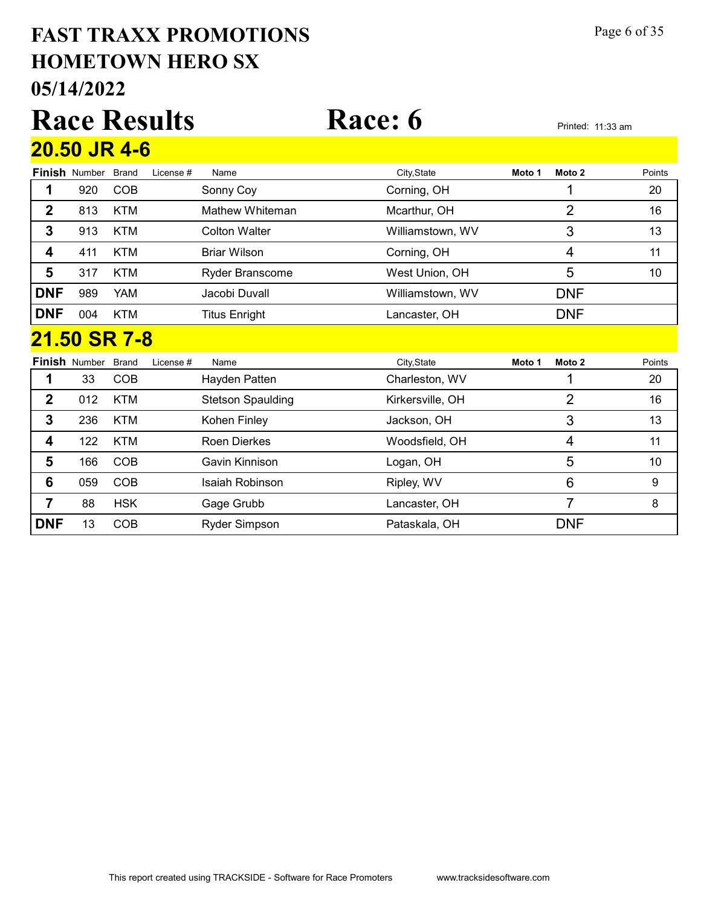#### 05/14/2022 HOMETOWN HERO SX FAST TRAXX PROMOTIONS Page 6 of 35

|                     |                      | <b>Race Results</b> |                      | Race: 6          |        |            | Printed: 11:33 am |
|---------------------|----------------------|---------------------|----------------------|------------------|--------|------------|-------------------|
| <b>20.50 JR 4-6</b> |                      |                     |                      |                  |        |            |                   |
|                     | <b>Finish Number</b> | Brand<br>License #  | Name                 | City, State      | Moto 1 | Moto 2     | Points            |
|                     | 920                  | <b>COB</b>          | Sonny Coy            | Corning, OH      |        |            | 20                |
| 2                   | 813                  | <b>KTM</b>          | Mathew Whiteman      | Mcarthur, OH     |        | 2          | 16                |
| 3                   | 913                  | <b>KTM</b>          | <b>Colton Walter</b> | Williamstown, WV |        | 3          | 13                |
| 4                   | 411                  | <b>KTM</b>          | Briar Wilson         | Corning, OH      |        | 4          | 11                |
| 5                   | 317                  | <b>KTM</b>          | Ryder Branscome      | West Union, OH   |        | 5          | 10                |
| <b>DNF</b>          | 989                  | <b>YAM</b>          | Jacobi Duvall        | Williamstown, WV |        | <b>DNF</b> |                   |
| <b>DNF</b>          | 004                  | <b>KTM</b>          | <b>Titus Enright</b> | Lancaster, OH    |        | <b>DNF</b> |                   |
|                     |                      | 21.50 SR 7-8        |                      |                  |        |            |                   |

|            | <b>Finish Number</b> | Brand      | License # | Name                     | City, State      | Moto 1 | Moto 2     | Points |
|------------|----------------------|------------|-----------|--------------------------|------------------|--------|------------|--------|
|            | 33                   | <b>COB</b> |           | Hayden Patten            | Charleston, WV   |        |            | 20     |
| 2          | 012                  | <b>KTM</b> |           | <b>Stetson Spaulding</b> | Kirkersville, OH |        | ႒          | 16     |
| 3          | 236                  | <b>KTM</b> |           | Kohen Finley             | Jackson, OH      |        | 3          | 13     |
| 4          | 122                  | <b>KTM</b> |           | Roen Dierkes             | Woodsfield, OH   |        | 4          | 11     |
| 5          | 166                  | COB        |           | Gavin Kinnison           | Logan, OH        |        | 5          | 10     |
| 6          | 059                  | <b>COB</b> |           | Isaiah Robinson          | Ripley, WV       |        | 6          | 9      |
|            | 88                   | <b>HSK</b> |           | Gage Grubb               | Lancaster, OH    |        |            | 8      |
| <b>DNF</b> | 13                   | COB        |           | Ryder Simpson            | Pataskala, OH    |        | <b>DNF</b> |        |

#### This report created using TRACKSIDE - Software for Race Promoters www.tracksidesoftware.com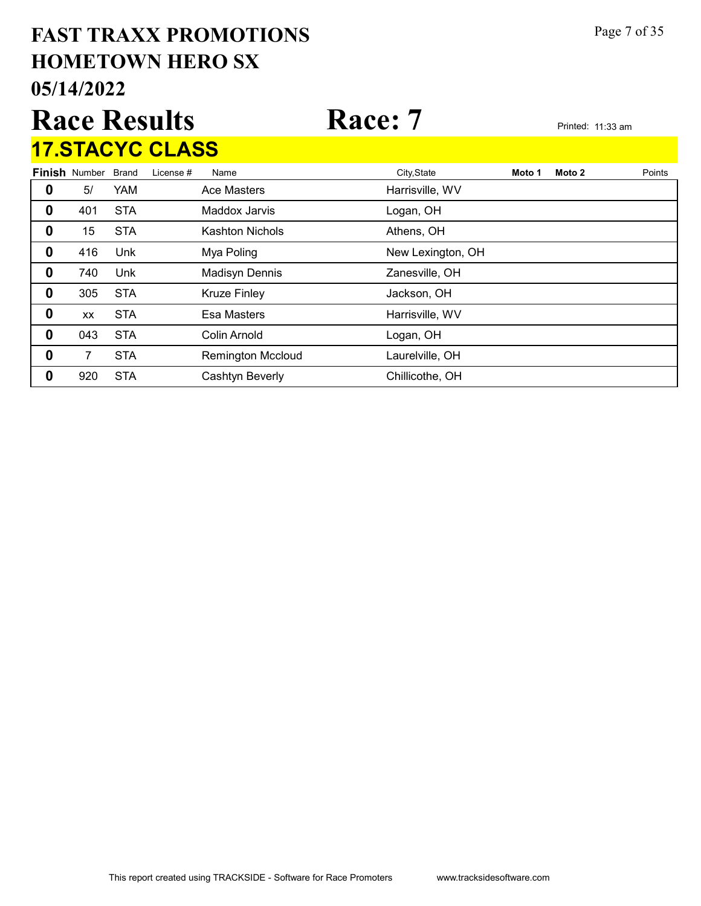# 05/14/2022 HOMETOWN HERO SX FAST TRAXX PROMOTIONS Page 7 of 35 Race Results Race: 7 Printed: 11:33 am

Finish Number Brand 17.STACYC CLASS Brand License # Name City,State **Moto 1 Moto 2** Points 5/ YAM Ace Masters **Harrisville, WV**  401 STA Maddox Jarvis Logan, OH 15 STA Kashton Nichols Athens, OH 416 Unk Mya Poling New Lexington, OH 0 740 Unk Madisyn Dennis 2anesville, OH 305 STA Kruze Finley **Communist Contract STA** State Arrangement Communist State Arrangement Communist Communist Communist Communist Communist Communist Communist Communist Communist Communist Communist Communist Commun xx STA Esa Masters **Example 3** Harrisville, WV 043 STA Colin Arnold Colin Logan, OH 7 STA Remington Mccloud Laurelville, OH 920 STA Cashtyn Beverly Chillicothe, OH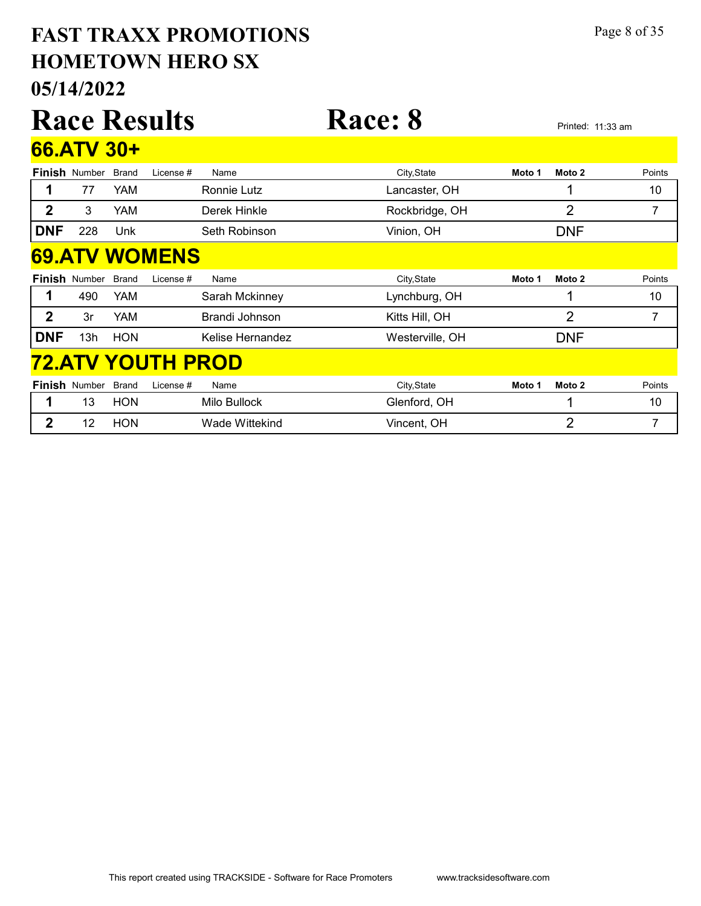#### 05/14/2022 HOMETOWN HERO SX FAST TRAXX PROMOTIONS Page 8 of 35

|              |                      |              | <b>Race Results</b>      |                    | <b>Race: 8</b>  |        |                | Printed: 11:33 am |
|--------------|----------------------|--------------|--------------------------|--------------------|-----------------|--------|----------------|-------------------|
|              | 66.ATV 30+           |              |                          |                    |                 |        |                |                   |
|              | <b>Finish Number</b> | <b>Brand</b> | License#                 | Name               | City, State     | Moto 1 | Moto 2         | Points            |
|              | 77                   | YAM          |                          | <b>Ronnie Lutz</b> | Lancaster, OH   |        | 1              | 10                |
| $\mathbf 2$  | 3                    | YAM.         |                          | Derek Hinkle       | Rockbridge, OH  |        | 2              | 7                 |
| <b>DNF</b>   | 228                  | Unk          |                          | Seth Robinson      | Vinion, OH      |        | <b>DNF</b>     |                   |
|              |                      |              | <b>69.ATV WOMENS</b>     |                    |                 |        |                |                   |
|              | <b>Finish Number</b> | <b>Brand</b> | License #                | Name               | City, State     | Moto 1 | Moto 2         | Points            |
|              | 490                  |              |                          |                    |                 |        |                | 10                |
|              |                      | YAM          |                          | Sarah Mckinney     | Lynchburg, OH   |        |                |                   |
| $\mathbf{2}$ | 3r                   | YAM          |                          | Brandi Johnson     | Kitts Hill, OH  |        | $\overline{2}$ | 7                 |
| <b>DNF</b>   | 13h                  | <b>HON</b>   |                          | Kelise Hernandez   | Westerville, OH |        | <b>DNF</b>     |                   |
|              |                      |              | <b>72.ATV YOUTH PROD</b> |                    |                 |        |                |                   |
|              | <b>Finish Number</b> | <b>Brand</b> | License #                | Name               | City, State     | Moto 1 | Moto 2         | Points            |
|              | 13                   | <b>HON</b>   |                          | Milo Bullock       | Glenford, OH    |        |                | 10                |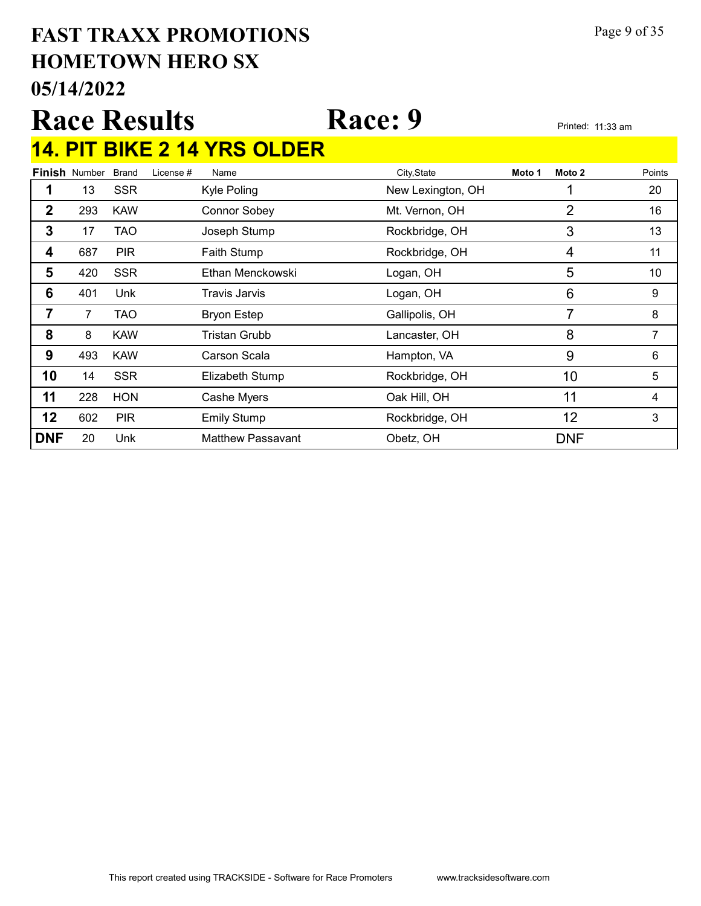#### 05/14/2022 HOMETOWN HERO SX FAST TRAXX PROMOTIONS Page 9 of 35

# Race Results Race: 9 Printed: 11:33 am 14. PIT BIKE 2 14 YRS OLDER

|              | <b>Finish Number</b> | <b>Brand</b> | License # | Name                     | City, State       | Moto 1 | Moto 2     | Points |
|--------------|----------------------|--------------|-----------|--------------------------|-------------------|--------|------------|--------|
|              | 13                   | <b>SSR</b>   |           | Kyle Poling              | New Lexington, OH |        |            | 20     |
| $\mathbf{2}$ | 293                  | <b>KAW</b>   |           | <b>Connor Sobey</b>      | Mt. Vernon, OH    |        | 2          | 16     |
| 3            | 17                   | TAO          |           | Joseph Stump             | Rockbridge, OH    |        | 3          | 13     |
| 4            | 687                  | <b>PIR</b>   |           | Faith Stump              | Rockbridge, OH    |        | 4          | 11     |
| 5            | 420                  | <b>SSR</b>   |           | Ethan Menckowski         | Logan, OH         |        | 5          | 10     |
| 6            | 401                  | Unk          |           | <b>Travis Jarvis</b>     | Logan, OH         |        | 6          | 9      |
| 7            | $\overline{7}$       | TAO          |           | <b>Bryon Estep</b>       | Gallipolis, OH    |        | 7          | 8      |
| 8            | 8                    | <b>KAW</b>   |           | Tristan Grubb            | Lancaster, OH     |        | 8          | 7      |
| 9            | 493                  | <b>KAW</b>   |           | Carson Scala             | Hampton, VA       |        | 9          | 6      |
| 10           | 14                   | <b>SSR</b>   |           | Elizabeth Stump          | Rockbridge, OH    |        | 10         | 5      |
| 11           | 228                  | <b>HON</b>   |           | Cashe Myers              | Oak Hill, OH      |        | 11         | 4      |
| 12           | 602                  | <b>PIR</b>   |           | <b>Emily Stump</b>       | Rockbridge, OH    |        | 12         | 3      |
| <b>DNF</b>   | 20                   | Unk          |           | <b>Matthew Passavant</b> | Obetz, OH         |        | <b>DNF</b> |        |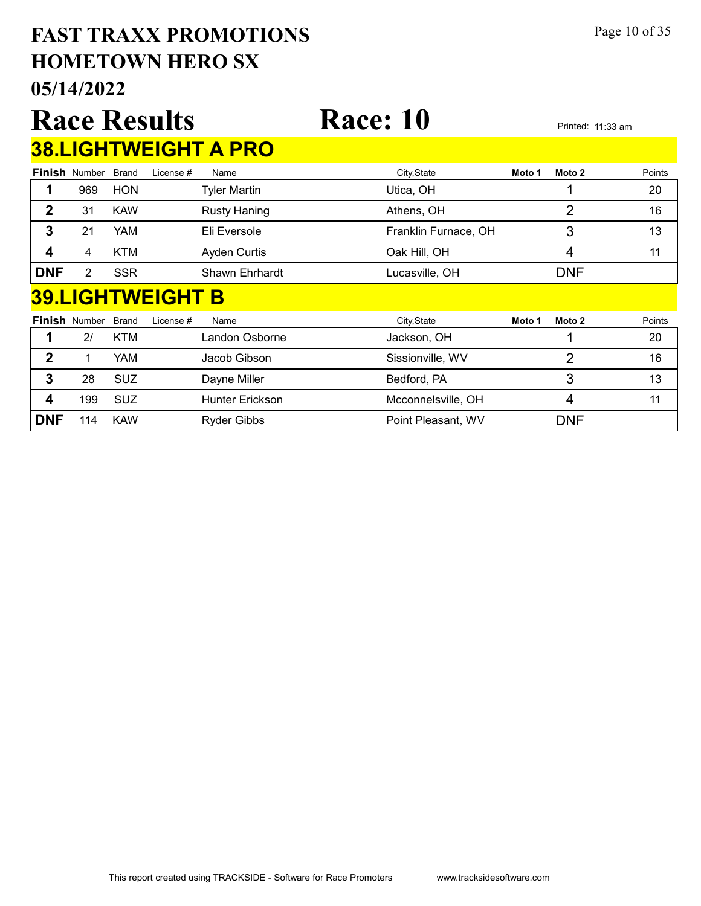#### 05/14/2022 HOMETOWN HERO SX FAST TRAXX PROMOTIONS Page 10 of 35

|             | <b>U5/14/2022</b>          |            |                     |                             |                      |                   |        |        |  |  |
|-------------|----------------------------|------------|---------------------|-----------------------------|----------------------|-------------------|--------|--------|--|--|
|             |                            |            | <b>Race Results</b> |                             | <b>Race: 10</b>      | Printed: 11:33 am |        |        |  |  |
|             |                            |            |                     | <b>38.LIGHTWEIGHT A PRO</b> |                      |                   |        |        |  |  |
|             | <b>Finish Number Brand</b> |            | License #           | Name                        | City, State          | Moto 1            | Moto 2 | Points |  |  |
|             | 969                        | <b>HON</b> |                     | Tyler Martin                | Utica, OH            |                   |        | 20     |  |  |
| $\mathbf 2$ | 31                         | <b>KAW</b> |                     | <b>Rusty Haning</b>         | Athens, OH           |                   |        | 16     |  |  |
| 3           | 21                         | YAM        |                     | Eli Eversole                | Franklin Furnace, OH |                   |        | 13     |  |  |

#### 39.LIGHTWEIGHT B

|            | <b>Finish Number Brand</b> |            | License # | Name                   | City, State        | Moto 1 | Moto 2     | Points |
|------------|----------------------------|------------|-----------|------------------------|--------------------|--------|------------|--------|
|            | 2 <sup>1</sup>             | KTM        |           | Landon Osborne         | Jackson, OH        |        |            | 20     |
| 2          |                            | YAM        |           | Jacob Gibson           | Sissionville, WV   |        |            | 16     |
| 3          | 28                         | <b>SUZ</b> |           | Dayne Miller           | Bedford, PA        |        |            | 13     |
|            | 199                        | <b>SUZ</b> |           | <b>Hunter Erickson</b> | Mcconnelsville, OH |        |            | 11     |
| <b>DNF</b> | 114                        | <b>KAW</b> |           | <b>Ryder Gibbs</b>     | Point Pleasant, WV |        | <b>DNF</b> |        |

**4** 4 KTM Ayden Curtis **COAK Hill, OH** 11

**DNF** 2 SSR Shawn Ehrhardt Lucasville, OH DNF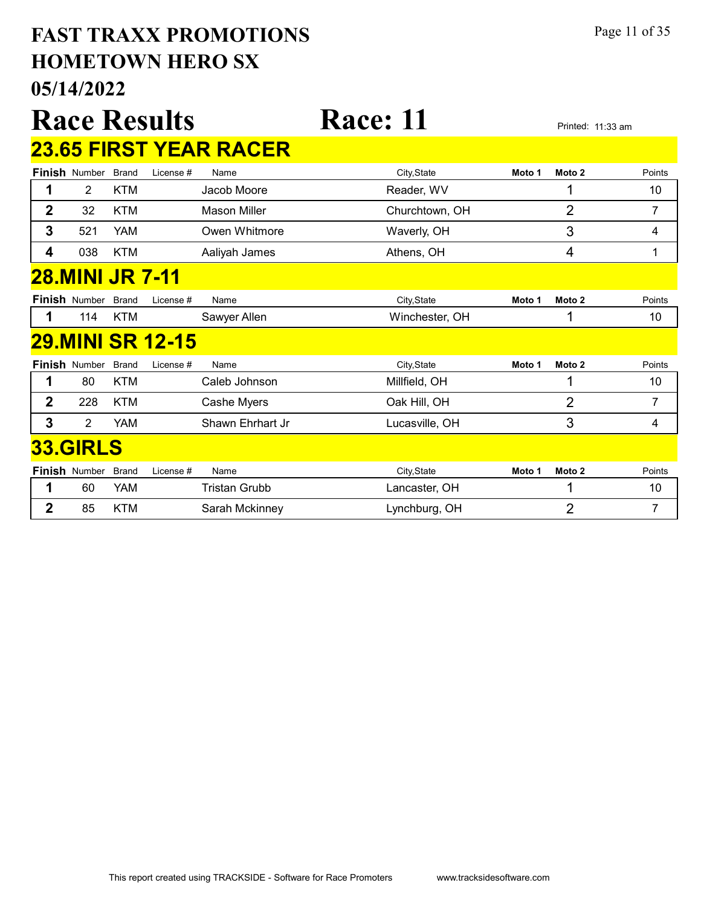#### 05/14/2022 HOMETOWN HERO SX FAST TRAXX PROMOTIONS Page 11 of 35

|                         |                      |              | <b>Race Results</b>     |                               | <b>Race: 11</b> |        |                   | Printed: 11:33 am |
|-------------------------|----------------------|--------------|-------------------------|-------------------------------|-----------------|--------|-------------------|-------------------|
|                         |                      |              |                         | <b>23.65 FIRST YEAR RACER</b> |                 |        |                   |                   |
|                         | Finish Number        | <b>Brand</b> | License #               | Name                          | City, State     | Moto 1 | Moto 2            | Points            |
| 1                       | $\overline{2}$       | <b>KTM</b>   |                         | Jacob Moore                   | Reader, WV      |        |                   | 10                |
| $\overline{2}$          | 32                   | KTM          |                         | <b>Mason Miller</b>           | Churchtown, OH  |        | $\overline{2}$    | 7                 |
| 3                       | 521                  | <b>YAM</b>   |                         | Owen Whitmore                 | Waverly, OH     |        | 3                 | 4                 |
| $\overline{\mathbf{4}}$ | 038                  | <b>KTM</b>   |                         | Aaliyah James                 | Athens, OH      |        | 4                 | 1                 |
|                         | 28.MINI JR 7-11      |              |                         |                               |                 |        |                   |                   |
|                         | <b>Finish Number</b> | <b>Brand</b> | License #               | Name                          | City, State     | Moto 1 | Moto 2            | Points            |
| 1                       | 114                  | <b>KTM</b>   |                         | Sawyer Allen                  | Winchester, OH  |        | 1                 | 10                |
|                         |                      |              | <b>29.MINI SR 12-15</b> |                               |                 |        |                   |                   |
|                         | <b>Finish Number</b> | <b>Brand</b> | License #               | Name                          | City, State     | Moto 1 | Moto <sub>2</sub> | Points            |
| 1                       | 80                   | <b>KTM</b>   |                         | Caleb Johnson                 | Millfield, OH   |        | 1                 | 10                |
| $\overline{2}$          | 228                  | <b>KTM</b>   |                         | Cashe Myers                   | Oak Hill, OH    |        | $\overline{2}$    | 7                 |
| 3                       | $\overline{2}$       | <b>YAM</b>   |                         | Shawn Ehrhart Jr              | Lucasville, OH  |        | 3                 | 4                 |
|                         | <b>33.GIRLS</b>      |              |                         |                               |                 |        |                   |                   |
|                         | Finish Number        | <b>Brand</b> | License #               | Name                          | City, State     | Moto 1 | Moto 2            | Points            |
| 1                       | 60                   | YAM          |                         | <b>Tristan Grubb</b>          | Lancaster, OH   |        | 1                 | 10                |
| $\overline{2}$          | 85                   | <b>KTM</b>   |                         | Sarah Mckinney                | Lynchburg, OH   |        | $\overline{2}$    | 7                 |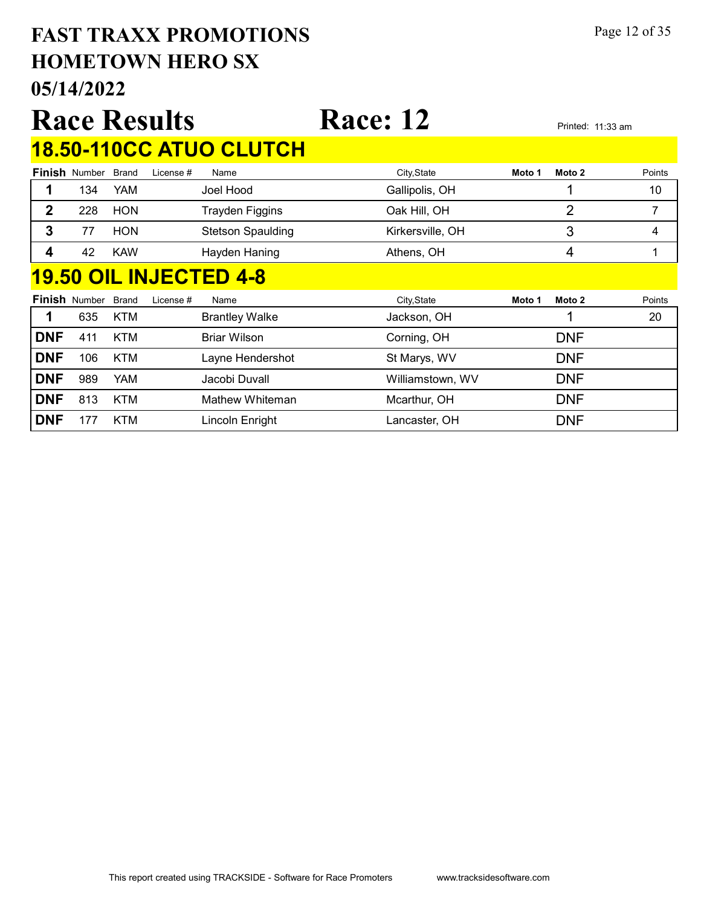#### $05/14/$ HOMETOWN HERO SX FAST TRAXX PROMOTIONS Page 12 of 35

|                                                             | 05/14/2022                     |            |           |                          |                  |        |        |        |  |  |
|-------------------------------------------------------------|--------------------------------|------------|-----------|--------------------------|------------------|--------|--------|--------|--|--|
| <b>Race: 12</b><br><b>Race Results</b><br>Printed: 11:33 am |                                |            |           |                          |                  |        |        |        |  |  |
|                                                             | <b>18.50-110CC ATUO CLUTCH</b> |            |           |                          |                  |        |        |        |  |  |
|                                                             | <b>Finish Number Brand</b>     |            | License # | Name                     | City, State      | Moto 1 | Moto 2 | Points |  |  |
|                                                             | 134                            | YAM        |           | Joel Hood                | Gallipolis, OH   |        |        | 10     |  |  |
| 2                                                           | 228                            | <b>HON</b> |           | Trayden Figgins          | Oak Hill, OH     |        | っ      |        |  |  |
| 3                                                           | 77                             | <b>HON</b> |           | <b>Stetson Spaulding</b> | Kirkersville, OH |        | 3      | 4      |  |  |

#### 19.50 OIL INJECTED 4-8

|            | <b>Finish Number</b> | Brand      | License # | Name                  | City, State               | Moto 1 | Moto 2     | Points |
|------------|----------------------|------------|-----------|-----------------------|---------------------------|--------|------------|--------|
|            | 635                  | <b>KTM</b> |           | <b>Brantley Walke</b> | Jackson, OH               |        |            | 20     |
| <b>DNF</b> | 411                  | KTM        |           | Briar Wilson          | Corning, OH               |        | <b>DNF</b> |        |
| <b>DNF</b> | 106                  | <b>KTM</b> |           | Layne Hendershot      | St Marys, WV              |        | <b>DNF</b> |        |
| <b>DNF</b> | 989                  | YAM        |           | Jacobi Duvall         | Williamstown, WV          |        | <b>DNF</b> |        |
| <b>DNF</b> | 813                  | <b>KTM</b> |           | Mathew Whiteman       | Mcarthur, OH              |        | <b>DNF</b> |        |
| <b>DNF</b> | 177                  | <b>KTM</b> |           | Lincoln Enright       | <sub>-</sub> ancaster, OH |        | <b>DNF</b> |        |

4 42 KAW Hayden Haning **Athens, OH 1** 4 4 1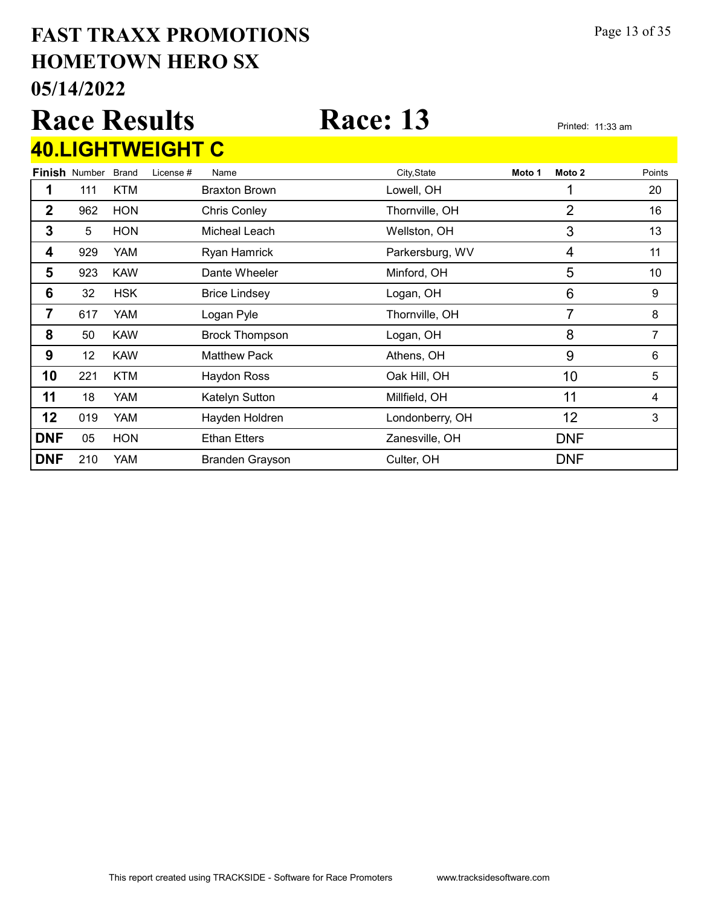#### 05/14/2022 HOMETOWN HERO SX FAST TRAXX PROMOTIONS Page 13 of 35

## Race Results Race: 13 Printed: 11:33 am 40.LIGHTWEIGHT C

|            | <b>Finish Number</b> | <b>Brand</b> | License # | Name                   | City, State     | Moto 1 | Moto 2     | Points |
|------------|----------------------|--------------|-----------|------------------------|-----------------|--------|------------|--------|
|            | 111                  | <b>KTM</b>   |           | <b>Braxton Brown</b>   | Lowell, OH      |        |            | 20     |
| 2          | 962                  | <b>HON</b>   |           | <b>Chris Conley</b>    | Thornville, OH  |        | 2          | 16     |
| 3          | 5                    | <b>HON</b>   |           | Micheal Leach          | Wellston, OH    |        | 3          | 13     |
| 4          | 929                  | YAM          |           | Ryan Hamrick           | Parkersburg, WV |        | 4          | 11     |
| 5          | 923                  | <b>KAW</b>   |           | Dante Wheeler          | Minford, OH     |        | 5          | 10     |
| 6          | 32                   | <b>HSK</b>   |           | <b>Brice Lindsey</b>   | Logan, OH       |        | 6          | 9      |
| 7          | 617                  | YAM          |           | Logan Pyle             | Thornville, OH  |        | 7          | 8      |
| 8          | 50                   | <b>KAW</b>   |           | <b>Brock Thompson</b>  | Logan, OH       |        | 8          | 7      |
| 9          | 12 <sup>2</sup>      | <b>KAW</b>   |           | <b>Matthew Pack</b>    | Athens, OH      |        | 9          | 6      |
| 10         | 221                  | <b>KTM</b>   |           | <b>Haydon Ross</b>     | Oak Hill, OH    |        | 10         | 5      |
| 11         | 18                   | YAM          |           | Katelyn Sutton         | Millfield, OH   |        | 11         | 4      |
| 12         | 019                  | YAM          |           | Hayden Holdren         | Londonberry, OH |        | 12         | 3      |
| <b>DNF</b> | 05                   | <b>HON</b>   |           | <b>Ethan Etters</b>    | Zanesville, OH  |        | <b>DNF</b> |        |
| <b>DNF</b> | 210                  | <b>YAM</b>   |           | <b>Branden Grayson</b> | Culter, OH      |        | <b>DNF</b> |        |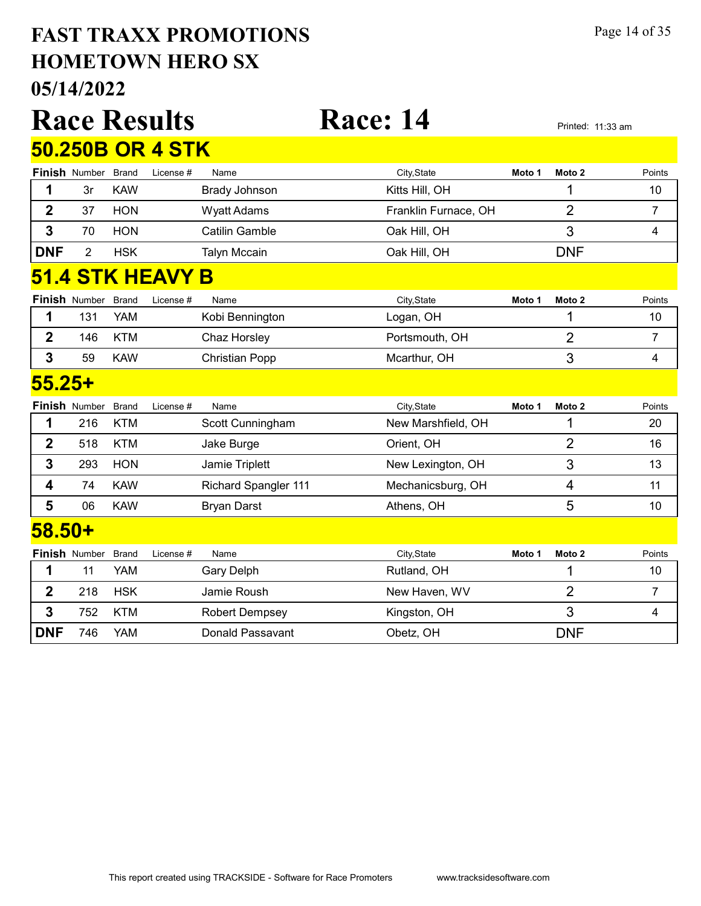#### 05/14/2022 HOMETOWN HERO SX FAST TRAXX PROMOTIONS Page 14 of 35

|                         |                      |              | <b>Race Results</b>     |                             | <b>Race: 14</b>      |        |                | Printed: 11:33 am |  |  |
|-------------------------|----------------------|--------------|-------------------------|-----------------------------|----------------------|--------|----------------|-------------------|--|--|
|                         |                      |              | <b>50.250B OR 4 STK</b> |                             |                      |        |                |                   |  |  |
|                         | <b>Finish Number</b> | <b>Brand</b> | License #               | Name                        | City, State          | Moto 1 | Moto 2         | Points            |  |  |
| 1                       | 3r                   | <b>KAW</b>   |                         | <b>Brady Johnson</b>        | Kitts Hill, OH       |        | 1              | 10                |  |  |
| $\overline{2}$          | 37                   | <b>HON</b>   |                         | <b>Wyatt Adams</b>          | Franklin Furnace, OH |        | $\overline{2}$ | 7                 |  |  |
| 3                       | 70                   | <b>HON</b>   |                         | <b>Catilin Gamble</b>       | Oak Hill, OH         |        | 3              | 4                 |  |  |
| <b>DNF</b>              | $\overline{2}$       | <b>HSK</b>   |                         | <b>Talyn Mccain</b>         | Oak Hill, OH         |        | <b>DNF</b>     |                   |  |  |
| <b>51.4 STK HEAVY B</b> |                      |              |                         |                             |                      |        |                |                   |  |  |
|                         | <b>Finish Number</b> | Brand        | License #               | Name                        | City, State          | Moto 1 | Moto 2         | Points            |  |  |
| 1                       | 131                  | <b>YAM</b>   |                         | Kobi Bennington             | Logan, OH            |        | 1              | 10                |  |  |
| $\mathbf{2}$            | 146                  | <b>KTM</b>   |                         | Chaz Horsley                | Portsmouth, OH       |        | $\overline{2}$ | $\overline{7}$    |  |  |
| 3                       | 59                   | <b>KAW</b>   |                         | <b>Christian Popp</b>       | Mcarthur, OH         |        | 3              | 4                 |  |  |
| <u>55.25+</u>           |                      |              |                         |                             |                      |        |                |                   |  |  |
|                         | Finish Number        | <b>Brand</b> | License #               | Name                        | City, State          | Moto 1 | Moto 2         | Points            |  |  |
| 1                       | 216                  | <b>KTM</b>   |                         | Scott Cunningham            | New Marshfield, OH   |        | 1              | 20                |  |  |
| $\mathbf 2$             | 518                  | <b>KTM</b>   |                         | Jake Burge                  | Orient, OH           |        | $\overline{2}$ | 16                |  |  |
| 3                       | 293                  | <b>HON</b>   |                         | Jamie Triplett              | New Lexington, OH    |        | 3              | 13                |  |  |
| 4                       | 74                   | <b>KAW</b>   |                         | <b>Richard Spangler 111</b> | Mechanicsburg, OH    |        | 4              | 11                |  |  |
| 5                       | 06                   | <b>KAW</b>   |                         | <b>Bryan Darst</b>          | Athens, OH           |        | 5              | 10                |  |  |
| $58.50+$                |                      |              |                         |                             |                      |        |                |                   |  |  |
|                         | Finish Number        | <b>Brand</b> | License #               | Name                        | City, State          | Moto 1 | Moto 2         | Points            |  |  |
| 1                       | 11                   | <b>YAM</b>   |                         | <b>Gary Delph</b>           | Rutland, OH          |        | 1              | 10                |  |  |
| $\overline{2}$          | 218                  | <b>HSK</b>   |                         | Jamie Roush                 | New Haven, WV        |        | $\overline{2}$ | $\overline{7}$    |  |  |
| 3                       | 752                  | <b>KTM</b>   |                         | <b>Robert Dempsey</b>       | Kingston, OH         |        | 3              | 4                 |  |  |
| <b>DNF</b>              | 746                  | <b>YAM</b>   |                         | Donald Passavant            | Obetz, OH            |        | <b>DNF</b>     |                   |  |  |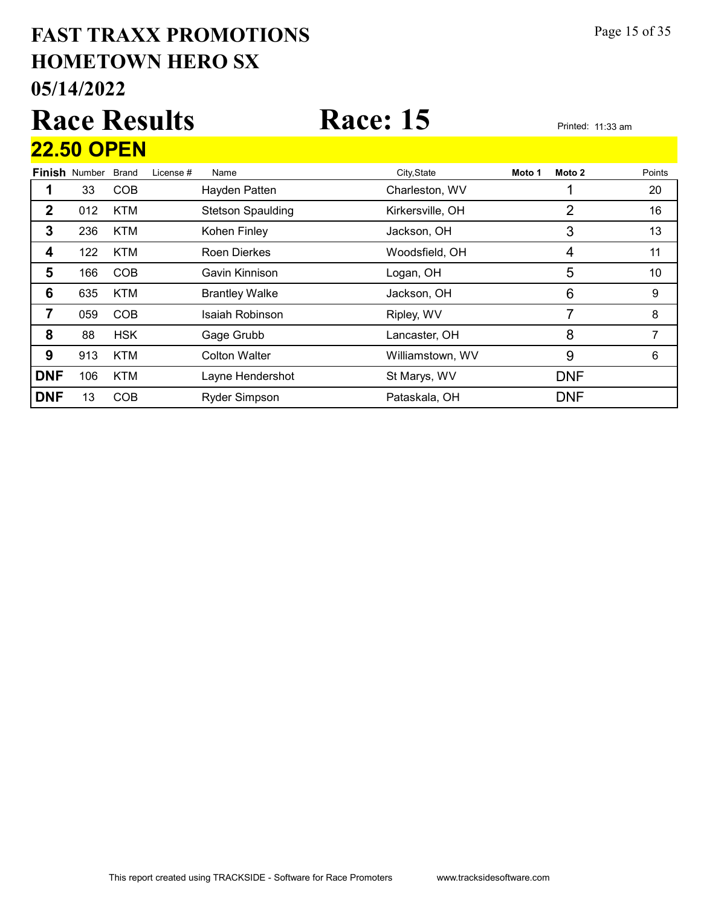#### 05/14/2022 HOMETOWN HERO SX FAST TRAXX PROMOTIONS Page 15 of 35

# Race Results Race: 15 Printed: 11:33 am 22.50 OPEN

|            | <b>Finish Number</b> | Brand      | License # | Name                     | City, State      | Moto 1 | Moto 2     | Points |
|------------|----------------------|------------|-----------|--------------------------|------------------|--------|------------|--------|
|            | 33                   | <b>COB</b> |           | Hayden Patten            | Charleston, WV   |        |            | 20     |
| 2          | 012                  | <b>KTM</b> |           | <b>Stetson Spaulding</b> | Kirkersville, OH |        | 2          | 16     |
| 3          | 236                  | <b>KTM</b> |           | Kohen Finley             | Jackson, OH      |        | 3          | 13     |
| 4          | 122                  | <b>KTM</b> |           | <b>Roen Dierkes</b>      | Woodsfield, OH   |        | 4          | 11     |
| 5          | 166                  | <b>COB</b> |           | Gavin Kinnison           | Logan, OH        |        | 5          | 10     |
| 6          | 635                  | <b>KTM</b> |           | <b>Brantley Walke</b>    | Jackson, OH      |        | 6          | 9      |
| 7          | 059                  | <b>COB</b> |           | Isaiah Robinson          | Ripley, WV       |        | 7          | 8      |
| 8          | 88                   | <b>HSK</b> |           | Gage Grubb               | Lancaster, OH    |        | 8          |        |
| 9          | 913                  | <b>KTM</b> |           | <b>Colton Walter</b>     | Williamstown, WV |        | 9          | 6      |
| <b>DNF</b> | 106                  | <b>KTM</b> |           | Layne Hendershot         | St Marys, WV     |        | <b>DNF</b> |        |
| <b>DNF</b> | 13                   | <b>COB</b> |           | <b>Ryder Simpson</b>     | Pataskala, OH    |        | <b>DNF</b> |        |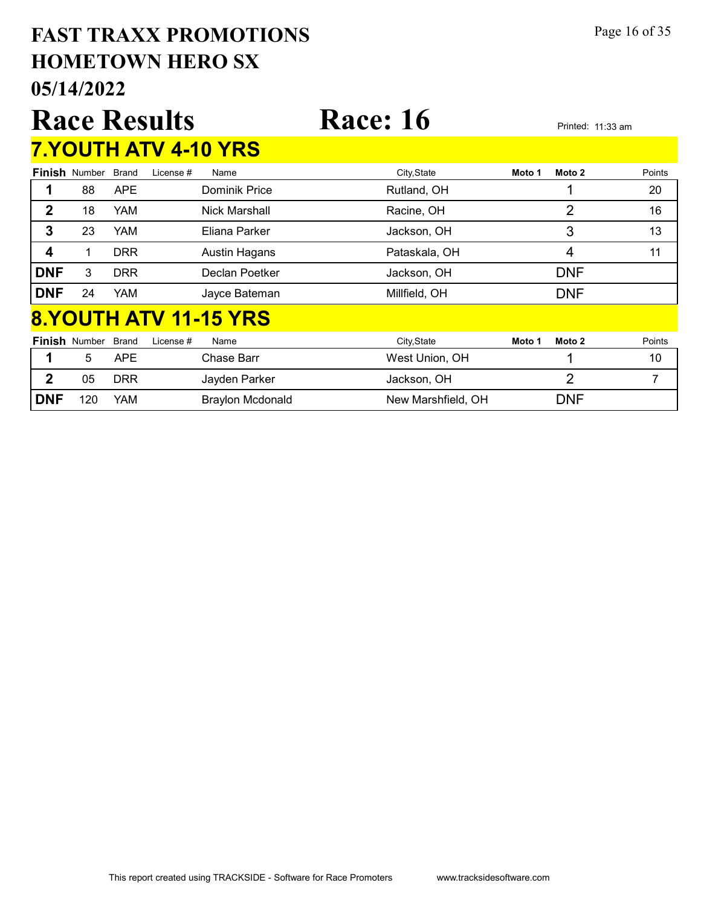#### 05/14/2022 HOMETOWN HERO SX FAST TRAXX PROMOTIONS Page 16 of 35

|              |                              | <b>Race Results</b> |           |                      | <b>Race: 16</b> |        | Printed: 11:33 am |        |  |  |  |  |
|--------------|------------------------------|---------------------|-----------|----------------------|-----------------|--------|-------------------|--------|--|--|--|--|
|              | <b>7.YOUTH ATV 4-10 YRS</b>  |                     |           |                      |                 |        |                   |        |  |  |  |  |
|              | <b>Finish Number</b>         | <b>Brand</b>        | License # | Name                 | City, State     | Moto 1 | Moto 2            | Points |  |  |  |  |
|              | 88                           | APE                 |           | Dominik Price        | Rutland, OH     |        |                   | 20     |  |  |  |  |
| $\mathbf{2}$ | 18                           | YAM                 |           | Nick Marshall        | Racine, OH      |        | 2                 | 16     |  |  |  |  |
| 3            | 23                           | <b>YAM</b>          |           | Eliana Parker        | Jackson, OH     |        | 3                 | 13     |  |  |  |  |
| 4            | 1                            | <b>DRR</b>          |           | <b>Austin Hagans</b> | Pataskala, OH   |        | 4                 | 11     |  |  |  |  |
| <b>DNF</b>   | 3                            | <b>DRR</b>          |           | Declan Poetker       | Jackson, OH     |        | <b>DNF</b>        |        |  |  |  |  |
| <b>DNF</b>   | 24                           | YAM                 |           | Jayce Bateman        | Millfield, OH   |        | <b>DNF</b>        |        |  |  |  |  |
|              | <b>8.YOUTH ATV 11-15 YRS</b> |                     |           |                      |                 |        |                   |        |  |  |  |  |

|            | <b>Finish Number Brand</b> |            | License # | Name                    | City, State        | Moto 1 | Moto 2 | Points |
|------------|----------------------------|------------|-----------|-------------------------|--------------------|--------|--------|--------|
|            |                            | <b>APE</b> |           | <b>Chase Barr</b>       | West Union, OH     |        |        | 10     |
| c          | 05                         | DRR        |           | Jayden Parker           | Jackson, OH        |        |        |        |
| <b>DNF</b> | 120                        | YAM        |           | <b>Braylon Mcdonald</b> | New Marshfield, OH |        | DNF    |        |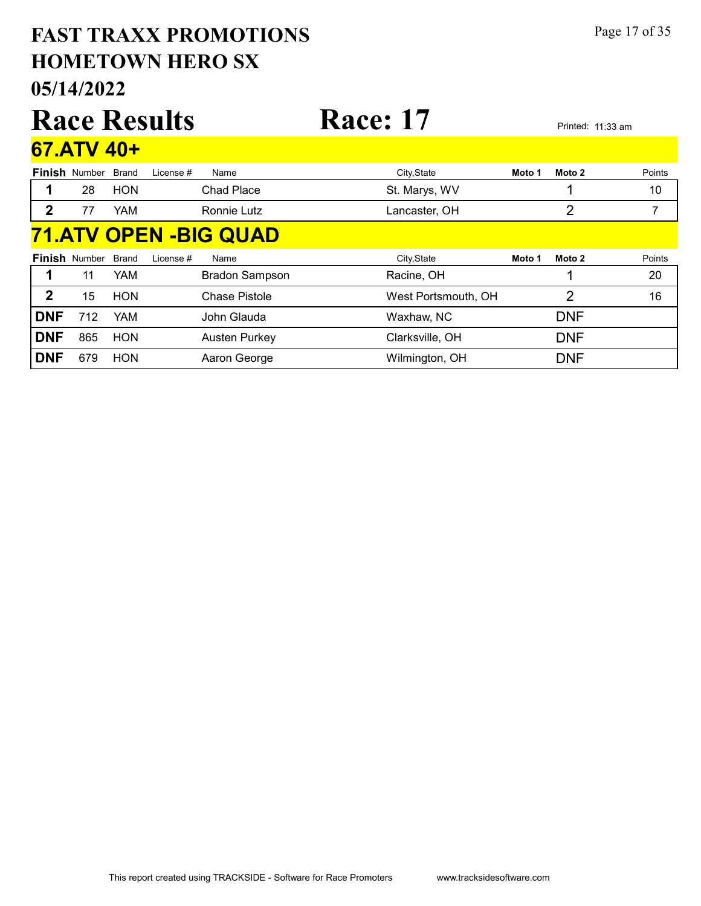#### 05/14/2022 HOMETOWN HERO SX FAST TRAXX PROMOTIONS Page 17 of 35

#### 67.ATV 40+

|            | <b>Finish</b> Number | <b>Brand</b> | License # | Name                         | City, State         | Moto 1 | Moto 2     | Points |
|------------|----------------------|--------------|-----------|------------------------------|---------------------|--------|------------|--------|
|            | 28                   | <b>HON</b>   |           | <b>Chad Place</b>            | St. Marys, WV       |        |            | 10     |
| 2          | 77                   | YAM          |           | Ronnie Lutz                  | Lancaster, OH       |        | 2          | 7      |
|            |                      |              |           | <b>71.ATV OPEN -BIG QUAD</b> |                     |        |            |        |
|            | <b>Finish Number</b> | <b>Brand</b> | License # | Name                         | City, State         | Moto 1 | Moto 2     | Points |
|            | 11                   | <b>YAM</b>   |           | <b>Bradon Sampson</b>        | Racine, OH          |        |            | 20     |
| 2          | 15                   | <b>HON</b>   |           | Chase Pistole                | West Portsmouth, OH |        | 2          | 16     |
| <b>DNF</b> | 712                  | <b>YAM</b>   |           | John Glauda                  | Waxhaw, NC          |        | <b>DNF</b> |        |
| <b>DNF</b> | 865                  | <b>HON</b>   |           | <b>Austen Purkey</b>         | Clarksville, OH     |        | <b>DNF</b> |        |
| <b>DNF</b> | 679                  | <b>HON</b>   |           | Aaron George                 | Wilmington, OH      |        | <b>DNF</b> |        |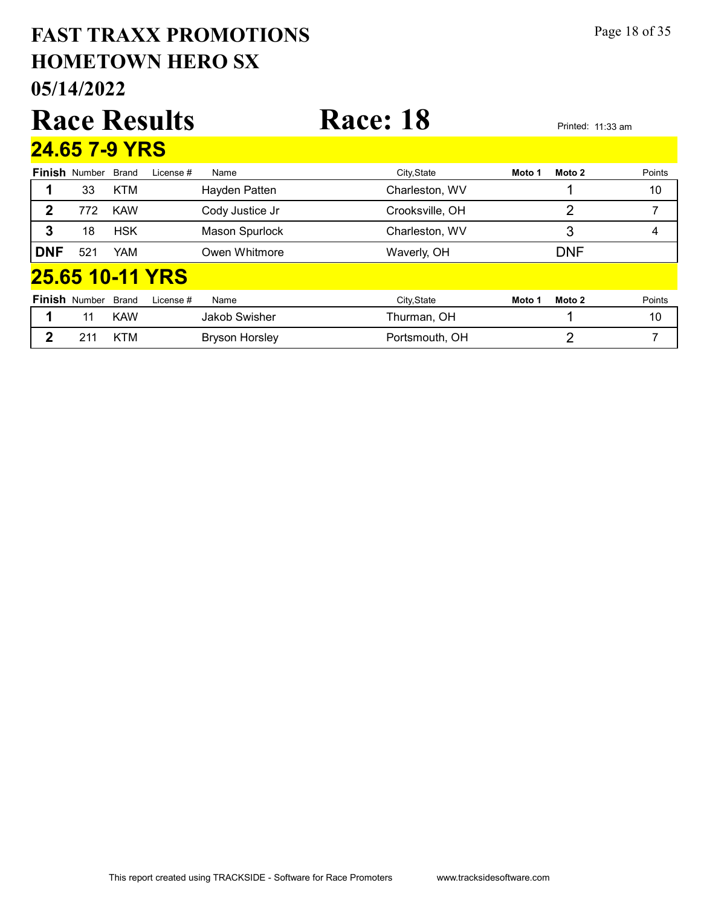|              | Page 18 of 35<br><b>FAST TRAXX PROMOTIONS</b><br><b>HOMETOWN HERO SX</b><br>05/14/2022 |              |                 |                       |                 |        |                |        |  |  |  |  |
|--------------|----------------------------------------------------------------------------------------|--------------|-----------------|-----------------------|-----------------|--------|----------------|--------|--|--|--|--|
|              | <b>Race: 18</b><br><b>Race Results</b><br>Printed: 11:33 am                            |              |                 |                       |                 |        |                |        |  |  |  |  |
|              | 24.65 7-9 YRS                                                                          |              |                 |                       |                 |        |                |        |  |  |  |  |
|              | <b>Finish Number</b>                                                                   | <b>Brand</b> | License #       | Name                  | City, State     | Moto 1 | Moto 2         | Points |  |  |  |  |
| 1            | 33                                                                                     | <b>KTM</b>   |                 | Hayden Patten         | Charleston, WV  |        | ◢              | 10     |  |  |  |  |
| $\mathbf{2}$ | 772                                                                                    | <b>KAW</b>   |                 | Cody Justice Jr       | Crooksville, OH |        | $\overline{2}$ | 7      |  |  |  |  |
| 3            | 18                                                                                     | <b>HSK</b>   |                 | <b>Mason Spurlock</b> | Charleston, WV  |        | 3              | 4      |  |  |  |  |
| <b>DNF</b>   | 521                                                                                    | YAM          |                 | Owen Whitmore         | Waverly, OH     |        | <b>DNF</b>     |        |  |  |  |  |
|              |                                                                                        |              | 25.65 10-11 YRS |                       |                 |        |                |        |  |  |  |  |
|              | <b>Finish Number</b>                                                                   | <b>Brand</b> | I icense #      | Name                  | City, State     | Moto 1 | Moto 2         | Points |  |  |  |  |
| 1            | 11                                                                                     | <b>KAW</b>   |                 | Jakob Swisher         | Thurman, OH     |        | 1              | 10     |  |  |  |  |
| $\mathbf{2}$ | 211                                                                                    | <b>KTM</b>   |                 | <b>Bryson Horsley</b> | Portsmouth, OH  |        | $\overline{2}$ | 7      |  |  |  |  |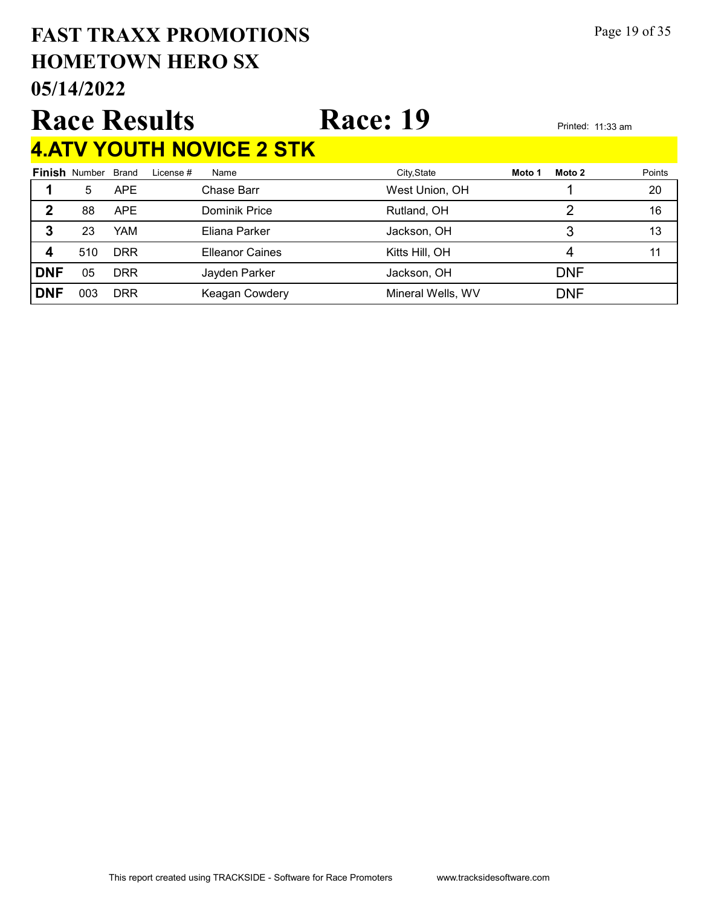#### 05/14/2022 HOMETOWN HERO SX FAST TRAXX PROMOTIONS Page 19 of 35

## Race Results Race: 19 Printed: 11:33 am 4.ATV YOUTH NOVICE 2 STK

| -------    |                            |            |           |                        |                   |        |            |        |
|------------|----------------------------|------------|-----------|------------------------|-------------------|--------|------------|--------|
|            | <b>Finish Number Brand</b> |            | License # | Name                   | City, State       | Moto 1 | Moto 2     | Points |
|            | 5                          | <b>APE</b> |           | Chase Barr             | West Union, OH    |        |            | 20     |
| 2          | 88                         | <b>APE</b> |           | Dominik Price          | Rutland, OH       |        |            | 16     |
| 3          | 23                         | YAM        |           | Eliana Parker          | Jackson, OH       |        |            | 13     |
| 4          | 510                        | <b>DRR</b> |           | <b>Elleanor Caines</b> | Kitts Hill, OH    |        |            |        |
| <b>DNF</b> | 05                         | <b>DRR</b> |           | Jayden Parker          | Jackson, OH       |        | <b>DNF</b> |        |
| <b>DNF</b> | 003                        | <b>DRR</b> |           | Keagan Cowdery         | Mineral Wells, WV |        | <b>DNF</b> |        |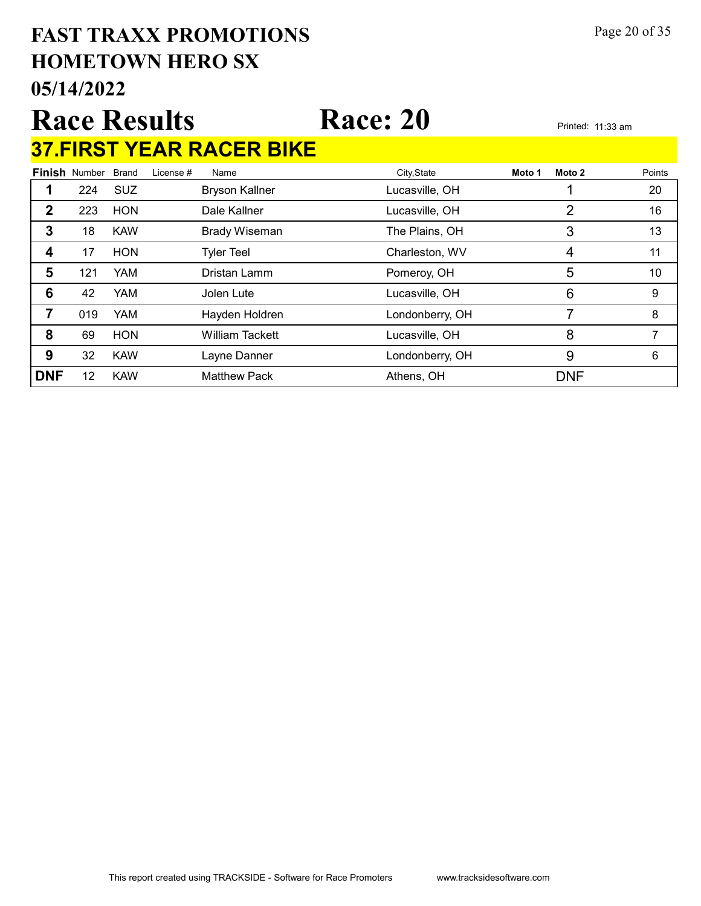#### 05/14/2022 HOMETOWN HERO SX FAST TRAXX PROMOTIONS Page 20 of 35

#### Race Results Race: 20 Printed: 11:33 am 37.FIRST YEAR RACER BIKE

Finish Number Brand Brand License # Name City,State **Moto 1 Moto 2** Points 1 224 SUZ Bryson Kallner Lucasville, OH 1 20 2 223 HON Dale Kallner Lucasville, OH 2 16 3 18 KAW Brady Wiseman The Plains, OH 3 3 13 4 17 HON Tyler Teel Charleston, WV 4 11 5 121 YAM Dristan Lamm Pomeroy, OH 5 5 10 **6** 42 YAM Jolen Lute Lucasville, OH 6 9 **7** 019 YAM Hayden Holdren **Londonberry, OH** 7 8 8 69 HON William Tackett Lucasville, OH 8 7 **9** 32 KAW Layne Danner Londonberry, OH 9 6 DNF 12 KAW Matthew Pack Athens, OH DNF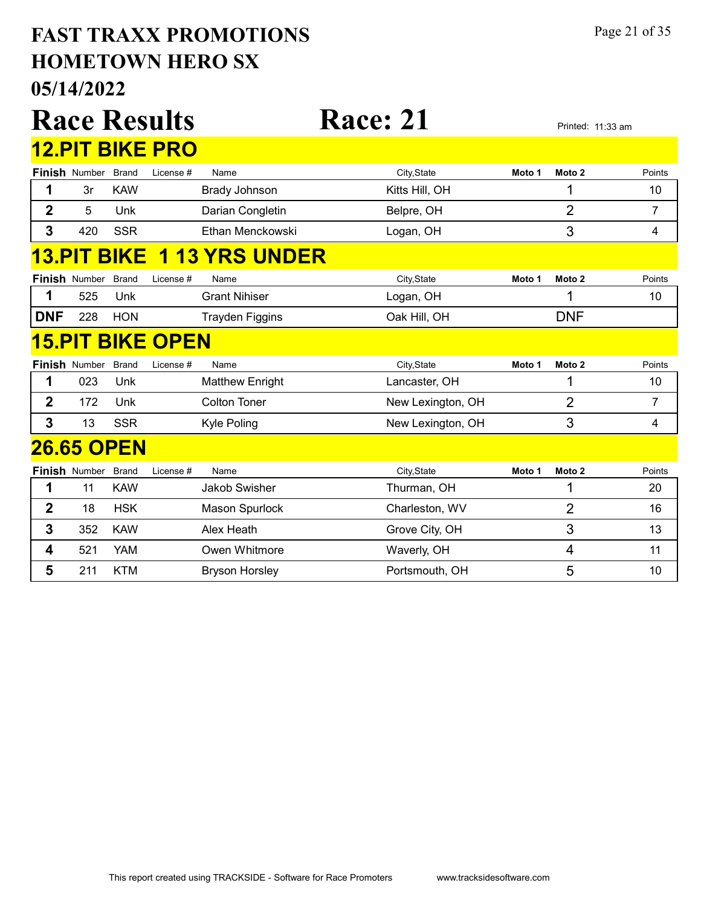#### 05/14/2022 HOMETOWN HERO SX FAST TRAXX PROMOTIONS Page 21 of 35

|                |                      |              | <b>Race Results</b>     |                        | <b>Race: 21</b>   |        |                   | Printed: 11:33 am |
|----------------|----------------------|--------------|-------------------------|------------------------|-------------------|--------|-------------------|-------------------|
|                |                      |              | <b>12.PIT BIKE PRO</b>  |                        |                   |        |                   |                   |
|                | <b>Finish Number</b> | <b>Brand</b> | License #               | Name                   | City, State       | Moto 1 | Moto 2            | Points            |
| 1              | 3r                   | <b>KAW</b>   |                         | Brady Johnson          | Kitts Hill, OH    |        | 1                 | 10                |
| $\overline{2}$ | 5                    | Unk          |                         | Darian Congletin       | Belpre, OH        |        | $\overline{2}$    | $\overline{7}$    |
| 3              | 420                  | <b>SSR</b>   |                         | Ethan Menckowski       | Logan, OH         |        | 3                 | 4                 |
| <u>13.PIT</u>  |                      | <b>BIKE</b>  |                         | <b>1 13 YRS UNDER</b>  |                   |        |                   |                   |
|                | <b>Finish Number</b> | <b>Brand</b> | License #               | Name                   | City, State       | Moto 1 | Moto 2            | Points            |
| 1              | 525                  | Unk          |                         | <b>Grant Nihiser</b>   | Logan, OH         |        | 1                 | 10                |
| <b>DNF</b>     | 228                  | <b>HON</b>   |                         | <b>Trayden Figgins</b> | Oak Hill, OH      |        | <b>DNF</b>        |                   |
|                |                      |              | <u>15.PIT BIKE OPEN</u> |                        |                   |        |                   |                   |
|                | <b>Finish Number</b> | <b>Brand</b> | License #               | Name                   | City, State       | Moto 1 | Moto <sub>2</sub> | Points            |
| 1              | 023                  | Unk          |                         | <b>Matthew Enright</b> | Lancaster, OH     |        | 1                 | 10                |
| $\mathbf{2}$   | 172                  | Unk          |                         | <b>Colton Toner</b>    | New Lexington, OH |        | $\overline{2}$    | $\overline{7}$    |
| 3              | 13                   | <b>SSR</b>   |                         | Kyle Poling            | New Lexington, OH |        | 3                 | 4                 |
|                | <b>26.65 OPEN</b>    |              |                         |                        |                   |        |                   |                   |
|                | <b>Finish Number</b> | <b>Brand</b> | License #               | Name                   | City, State       | Moto 1 | Moto 2            | Points            |
| 1              | 11                   | <b>KAW</b>   |                         | <b>Jakob Swisher</b>   | Thurman, OH       |        | 1                 | 20                |
| $\mathbf 2$    | 18                   | <b>HSK</b>   |                         | Mason Spurlock         | Charleston, WV    |        | 2                 | 16                |
| 3              | 352                  | <b>KAW</b>   |                         | Alex Heath             | Grove City, OH    |        | 3                 | 13                |
| 4              | 521                  | <b>YAM</b>   |                         | Owen Whitmore          | Waverly, OH       |        | 4                 | 11                |
| 5              | 211                  | <b>KTM</b>   |                         | <b>Bryson Horsley</b>  | Portsmouth, OH    |        | 5                 | 10                |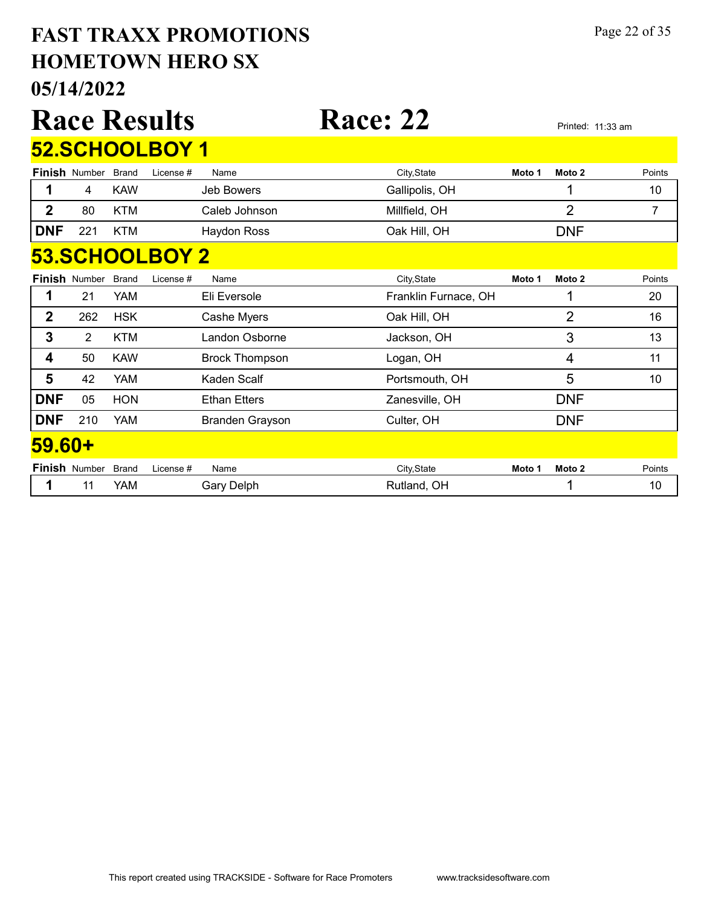#### 05/14/2022 HOMETOWN HERO SX FAST TRAXX PROMOTIONS Page 22 of 35

|                |                      |              | <b>Race Results</b> |                       | <b>Race: 22</b>      |        |                | Printed: 11:33 am |  |  |  |
|----------------|----------------------|--------------|---------------------|-----------------------|----------------------|--------|----------------|-------------------|--|--|--|
|                |                      |              | 52.SCHOOLBOY 1      |                       |                      |        |                |                   |  |  |  |
|                | <b>Finish Number</b> | <b>Brand</b> | License #           | Name                  | City, State          | Moto 1 | Moto 2         | Points            |  |  |  |
|                | 4                    | <b>KAW</b>   |                     | Jeb Bowers            | Gallipolis, OH       |        | 1              | 10                |  |  |  |
| $\overline{2}$ | 80                   | <b>KTM</b>   |                     | Caleb Johnson         | Millfield, OH        |        | $\overline{2}$ | 7                 |  |  |  |
| <b>DNF</b>     | 221                  | <b>KTM</b>   |                     | <b>Haydon Ross</b>    | Oak Hill, OH         |        | <b>DNF</b>     |                   |  |  |  |
|                | 53.SCHOOLBOY 2       |              |                     |                       |                      |        |                |                   |  |  |  |
|                | <b>Finish Number</b> | <b>Brand</b> | License #           | Name                  | City, State          | Moto 1 | Moto 2         | Points            |  |  |  |
| 1              | 21                   | <b>YAM</b>   |                     | Eli Eversole          | Franklin Furnace, OH |        | 1              | 20                |  |  |  |
| $\mathbf{2}$   | 262                  | <b>HSK</b>   |                     | Cashe Myers           | Oak Hill, OH         |        | $\overline{2}$ | 16                |  |  |  |
| 3              | $\overline{2}$       | <b>KTM</b>   |                     | Landon Osborne        | Jackson, OH          |        | 3              | 13                |  |  |  |
| 4              | 50                   | <b>KAW</b>   |                     | <b>Brock Thompson</b> | Logan, OH            |        | 4              | 11                |  |  |  |
| 5              | 42                   | YAM          |                     | Kaden Scalf           | Portsmouth, OH       |        | 5              | 10                |  |  |  |
| <b>DNF</b>     | 05                   | <b>HON</b>   |                     | <b>Ethan Etters</b>   | Zanesville, OH       |        | <b>DNF</b>     |                   |  |  |  |
| <b>DNF</b>     | 210                  | YAM          |                     | Branden Grayson       | Culter, OH           |        | <b>DNF</b>     |                   |  |  |  |
| 59.60+         |                      |              |                     |                       |                      |        |                |                   |  |  |  |
|                | Finish Number        | <b>Brand</b> | License #           | Name                  | City, State          | Moto 1 | Moto 2         | Points            |  |  |  |
| 1              | 11                   | YAM          |                     | <b>Gary Delph</b>     | Rutland, OH          |        | 1              | 10                |  |  |  |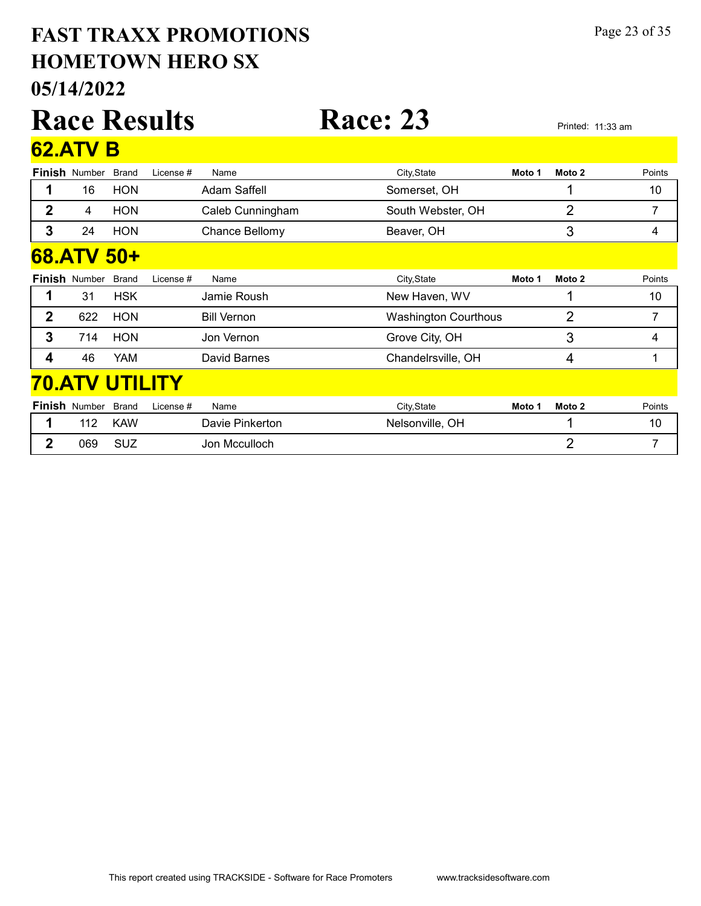#### 05/14/2022 HOMETOWN HERO SX FAST TRAXX PROMOTIONS Page 23 of 35

|                  |                      |              | <b>Race Results</b>   |                       | <b>Race: 23</b>             |        |                | Printed: 11:33 am |
|------------------|----------------------|--------------|-----------------------|-----------------------|-----------------------------|--------|----------------|-------------------|
|                  | <b>62.ATV B</b>      |              |                       |                       |                             |        |                |                   |
|                  | <b>Finish Number</b> | <b>Brand</b> | License #             | Name                  | City, State                 | Moto 1 | Moto 2         | Points            |
| 1                | 16                   | <b>HON</b>   |                       | <b>Adam Saffell</b>   | Somerset, OH                |        | 1              | 10                |
| $\mathbf{2}$     | 4                    | <b>HON</b>   |                       | Caleb Cunningham      | South Webster, OH           |        | 2              | 7                 |
| $\overline{3}$   | 24                   | <b>HON</b>   |                       | <b>Chance Bellomy</b> | Beaver, OH                  |        | 3              | 4                 |
|                  | 68.ATV 50+           |              |                       |                       |                             |        |                |                   |
|                  | <b>Finish Number</b> | <b>Brand</b> | License #             | Name                  | City, State                 | Moto 1 | Moto 2         | Points            |
| 1                | 31                   | <b>HSK</b>   |                       | Jamie Roush           | New Haven, WV               |        |                | 10                |
| $\mathbf{2}$     | 622                  | <b>HON</b>   |                       | <b>Bill Vernon</b>    | <b>Washington Courthous</b> |        | 2              | 7                 |
| 3                | 714                  | <b>HON</b>   |                       | Jon Vernon            | Grove City, OH              |        | 3              | 4                 |
| 4                | 46                   | YAM          |                       | David Barnes          | Chandelrsville, OH          |        | 4              |                   |
|                  |                      |              | <b>70.ATV UTILITY</b> |                       |                             |        |                |                   |
|                  | <b>Finish Number</b> | <b>Brand</b> | License #             | Name                  | City, State                 | Moto 1 | Moto 2         | Points            |
| 1                | 112                  | <b>KAW</b>   |                       | Davie Pinkerton       | Nelsonville, OH             |        | 1              | 10                |
| $\boldsymbol{2}$ | 069                  | <b>SUZ</b>   |                       | Jon Mcculloch         |                             |        | $\overline{2}$ | $\overline{7}$    |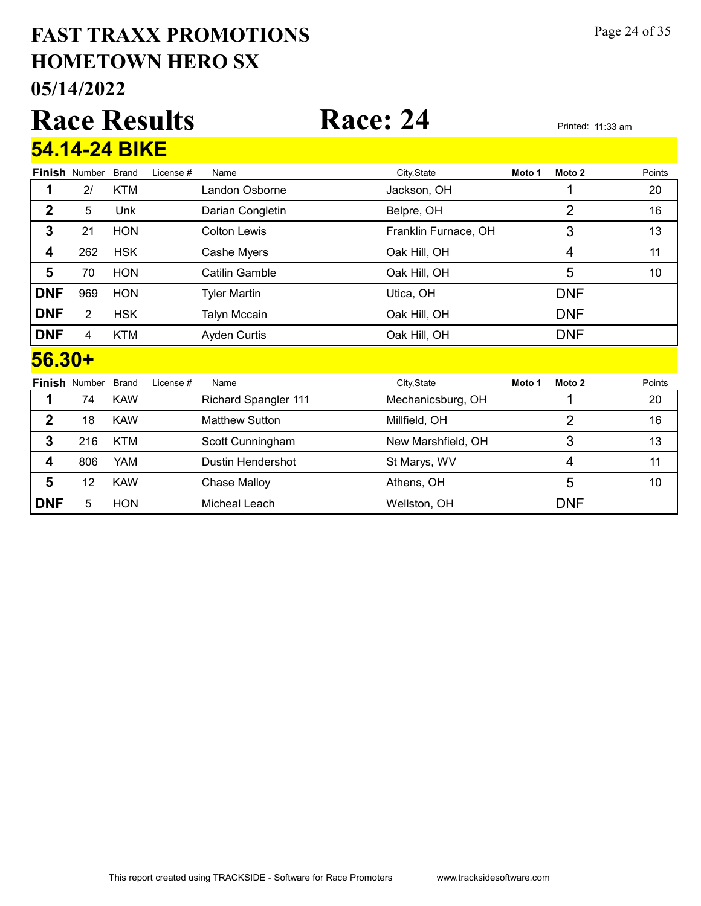#### 05/14/2022 HOMETOWN HERO SX FAST TRAXX PROMOTIONS Page 24 of 35

|             |                      |              | <b>Race Results</b> |                     | <b>Race: 24</b>      |        | Printed: 11:33 am |        |
|-------------|----------------------|--------------|---------------------|---------------------|----------------------|--------|-------------------|--------|
|             | 54.14-24 BIKE        |              |                     |                     |                      |        |                   |        |
|             | <b>Finish Number</b> | <b>Brand</b> | License #           | Name                | City, State          | Moto 1 | Moto 2            | Points |
|             | 2 <sup>1</sup>       | <b>KTM</b>   |                     | Landon Osborne      | Jackson, OH          |        |                   | 20     |
| $\mathbf 2$ | 5                    | Unk          |                     | Darian Congletin    | Belpre, OH           |        | $\overline{2}$    | 16     |
| 3           | 21                   | <b>HON</b>   |                     | <b>Colton Lewis</b> | Franklin Furnace, OH |        | 3                 | 13     |
| 4           | 262                  | <b>HSK</b>   |                     | Cashe Myers         | Oak Hill, OH         |        | 4                 | 11     |
| 5           | 70                   | <b>HON</b>   |                     | Catilin Gamble      | Oak Hill, OH         |        | 5                 | 10     |
| <b>DNF</b>  | 969                  | <b>HON</b>   |                     | <b>Tyler Martin</b> | Utica, OH            |        | <b>DNF</b>        |        |
| <b>DNF</b>  | $\overline{2}$       | <b>HSK</b>   |                     | <b>Talyn Mccain</b> | Oak Hill, OH         |        | <b>DNF</b>        |        |
| <b>DNF</b>  | 4                    | <b>KTM</b>   |                     | <b>Ayden Curtis</b> | Oak Hill, OH         |        | <b>DNF</b>        |        |
| 56.30+      |                      |              |                     |                     |                      |        |                   |        |

|            | <b>Finish Number</b> | Brand      | License # | Name                        | City, State        | Moto 1 | Moto 2     | Points |
|------------|----------------------|------------|-----------|-----------------------------|--------------------|--------|------------|--------|
|            | 74                   | <b>KAW</b> |           | <b>Richard Spangler 111</b> | Mechanicsburg, OH  |        |            | 20     |
| 2          | 18                   | <b>KAW</b> |           | <b>Matthew Sutton</b>       | Millfield, OH      |        |            | 16     |
| 3          | 216                  | KTM        |           | Scott Cunningham            | New Marshfield, OH |        | 3          | 13     |
| 4          | 806                  | YAM        |           | Dustin Hendershot           | St Marys, WV       |        |            | 11     |
| 5          | 12                   | <b>KAW</b> |           | Chase Malloy                | Athens, OH         |        | 5          | 10     |
| <b>DNF</b> | 5                    | <b>HON</b> |           | Micheal Leach               | Wellston, OH       |        | <b>DNF</b> |        |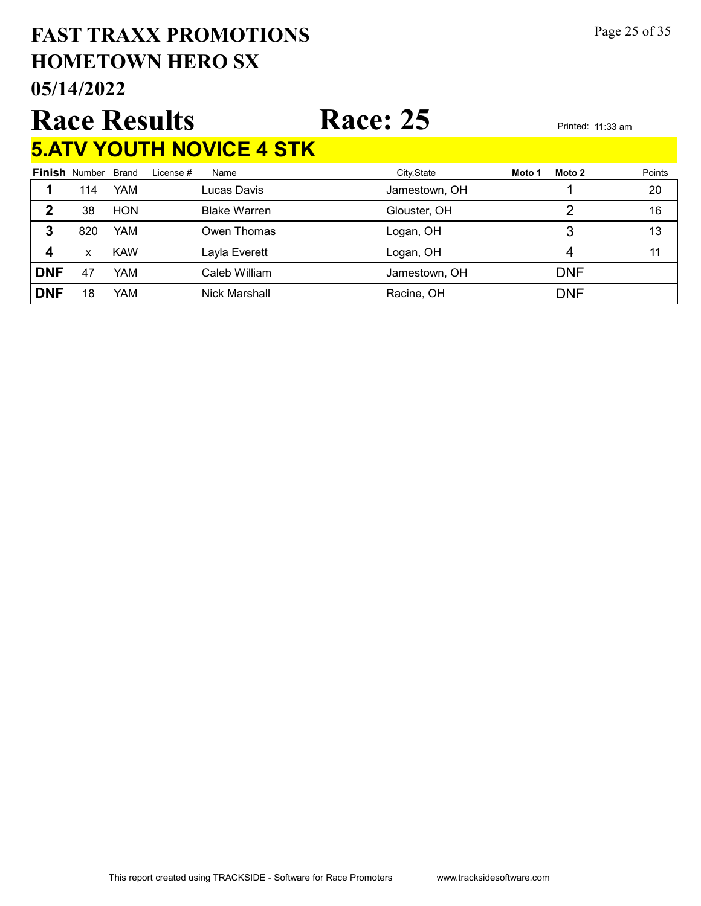#### 05/14/2022 HOMETOWN HERO SX FAST TRAXX PROMOTIONS Page 25 of 35

#### Race Results Race: 25 Printed: 11:33 am 5.ATV YOUTH NOVICE 4 STK

| <u>Viri V</u> |                      |            | <u>I UU I I I I IU I U I I U I I I</u> |               |                  |        |
|---------------|----------------------|------------|----------------------------------------|---------------|------------------|--------|
|               | <b>Finish Number</b> | Brand      | License #<br>Name                      | City, State   | Moto 2<br>Moto 1 | Points |
|               | 114                  | <b>YAM</b> | Lucas Davis                            | Jamestown, OH |                  | 20     |
|               | 38                   | <b>HON</b> | <b>Blake Warren</b>                    | Glouster, OH  |                  | 16     |
| 3             | 820                  | <b>YAM</b> | Owen Thomas                            | Logan, OH     | 3                | 13     |
|               | x                    | <b>KAW</b> | Layla Everett                          | Logan, OH     | 4                | 11     |
| <b>DNF</b>    | 47                   | YAM        | Caleb William                          | Jamestown, OH | <b>DNF</b>       |        |
| <b>DNF</b>    | 18                   | YAM        | Nick Marshall                          | Racine, OH    | <b>DNF</b>       |        |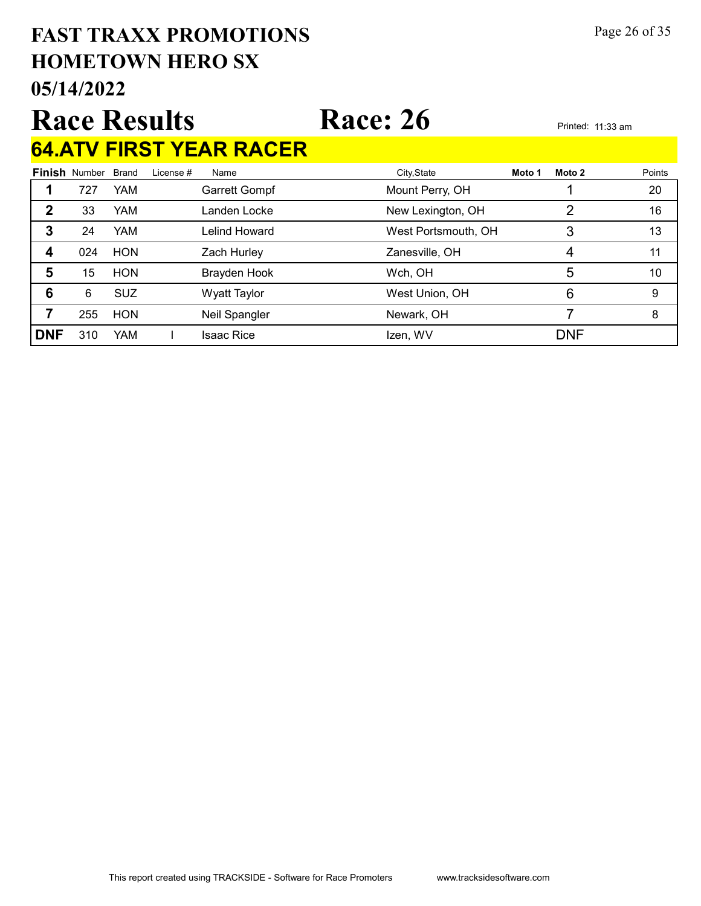#### 05/14/2022 HOMETOWN HERO SX FAST TRAXX PROMOTIONS Page 26 of 35

# Race Results Race: 26 Printed: 11:33 am

# 64.ATV FIRST YEAR RACER

|            | <b>Finish Number</b> | Brand      | License # | Name                | City, State         | Moto 1 | Moto 2     | Points |
|------------|----------------------|------------|-----------|---------------------|---------------------|--------|------------|--------|
|            | 727                  | <b>YAM</b> |           | Garrett Gompf       | Mount Perry, OH     |        |            | 20     |
| 2          | 33                   | <b>YAM</b> |           | Landen Locke        | New Lexington, OH   |        | 2          | 16     |
| 3          | 24                   | <b>YAM</b> |           | Lelind Howard       | West Portsmouth, OH |        | 3          | 13     |
| 4          | 024                  | <b>HON</b> |           | Zach Hurley         | Zanesville, OH      |        | 4          | 11     |
| 5          | 15                   | <b>HON</b> |           | Brayden Hook        | Wch, OH             |        | 5          | 10     |
| 6          | 6                    | <b>SUZ</b> |           | <b>Wyatt Taylor</b> | West Union, OH      |        | 6          | 9      |
|            | 255                  | <b>HON</b> |           | Neil Spangler       | Newark, OH          |        |            | 8      |
| <b>DNF</b> | 310                  | YAM        |           | <b>Isaac Rice</b>   | Izen, WV            |        | <b>DNF</b> |        |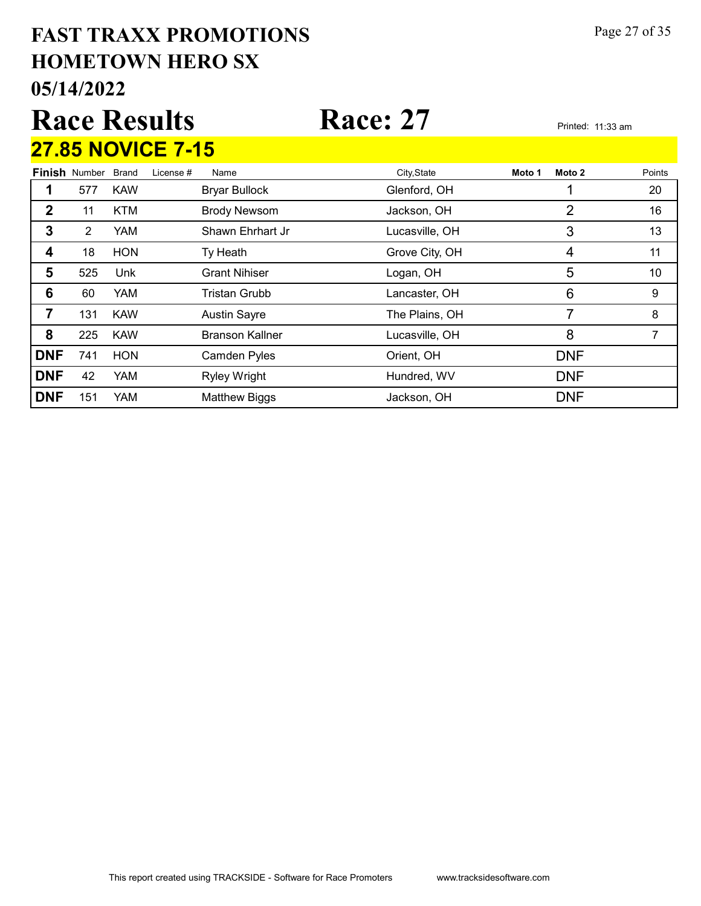#### 05/14/2022 HOMETOWN HERO SX FAST TRAXX PROMOTIONS Page 27 of 35

# Race Results Race: 27 Printed: 11:33 am  $27.85$  NOVICE  $7.15$

|            |                      |            | <u> 21.00 NUVIUE 7-10</u> |                        |                |        |                |        |
|------------|----------------------|------------|---------------------------|------------------------|----------------|--------|----------------|--------|
|            | <b>Finish Number</b> | Brand      | License #                 | Name                   | City, State    | Moto 1 | Moto 2         | Points |
| 1          | 577                  | <b>KAW</b> |                           | <b>Bryar Bullock</b>   | Glenford, OH   |        |                | 20     |
| 2          | 11                   | <b>KTM</b> |                           | <b>Brody Newsom</b>    | Jackson, OH    |        | 2              | 16     |
| 3          | $\overline{2}$       | YAM        |                           | Shawn Ehrhart Jr       | Lucasville, OH |        | 3              | 13     |
| 4          | 18                   | <b>HON</b> |                           | Ty Heath               | Grove City, OH |        | $\overline{4}$ | 11     |
| 5          | 525                  | Unk        |                           | <b>Grant Nihiser</b>   | Logan, OH      |        | 5              | 10     |
| 6          | 60                   | <b>YAM</b> |                           | Tristan Grubb          | Lancaster, OH  |        | 6              | 9      |
| 7          | 131                  | <b>KAW</b> |                           | <b>Austin Sayre</b>    | The Plains, OH |        | 7              | 8      |
| 8          | 225                  | <b>KAW</b> |                           | <b>Branson Kallner</b> | Lucasville, OH |        | 8              |        |
| <b>DNF</b> | 741                  | <b>HON</b> |                           | <b>Camden Pyles</b>    | Orient, OH     |        | <b>DNF</b>     |        |
| <b>DNF</b> | 42                   | YAM        |                           | <b>Ryley Wright</b>    | Hundred, WV    |        | <b>DNF</b>     |        |
| <b>DNF</b> | 151                  | <b>YAM</b> |                           | <b>Matthew Biggs</b>   | Jackson, OH    |        | <b>DNF</b>     |        |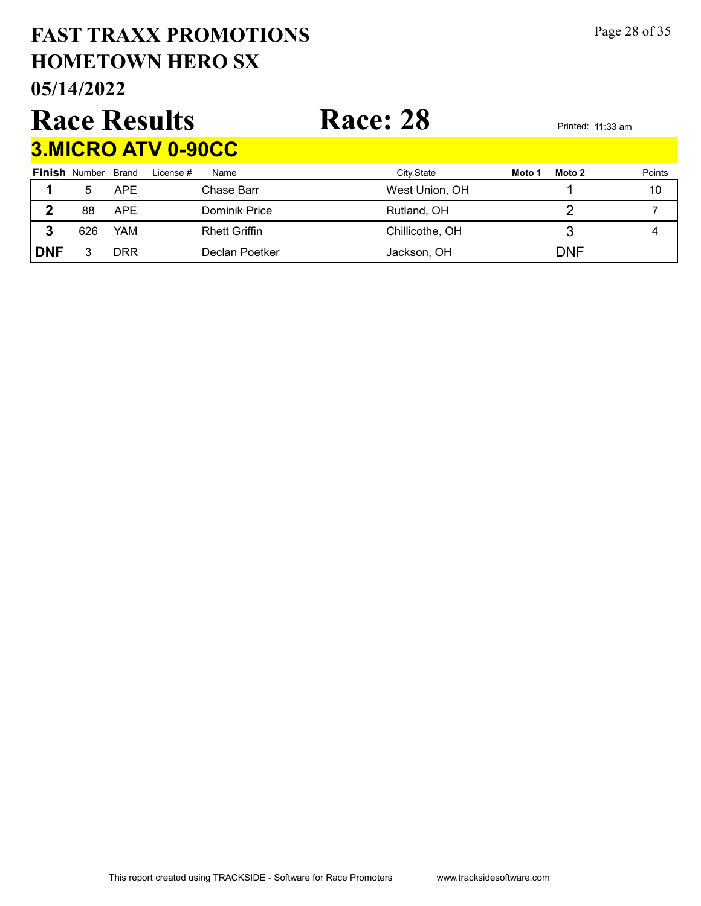# HOMETOWN HERO SX FAST TRAXX PROMOTIONS Page 28 of 35

05/14/2022

#### Race Results Race: 28 Printed: 11:33 am 2.MICRO ATV 0.90CC

|            | <u>JIIIUINU ALI VIIJUUU</u> |            |                      |                 |                  |        |  |  |  |  |  |  |
|------------|-----------------------------|------------|----------------------|-----------------|------------------|--------|--|--|--|--|--|--|
|            | <b>Finish Number Brand</b>  |            | License #<br>Name    | City, State     | Moto 2<br>Moto 1 | Points |  |  |  |  |  |  |
|            | 5                           | <b>APE</b> | Chase Barr           | West Union, OH  |                  | 10     |  |  |  |  |  |  |
|            | 88                          | <b>APE</b> | Dominik Price        | Rutland, OH     |                  |        |  |  |  |  |  |  |
|            | 626                         | YAM        | <b>Rhett Griffin</b> | Chillicothe, OH |                  | 4      |  |  |  |  |  |  |
| <b>DNF</b> |                             | DRR        | Declan Poetker       | Jackson, OH     | <b>DNF</b>       |        |  |  |  |  |  |  |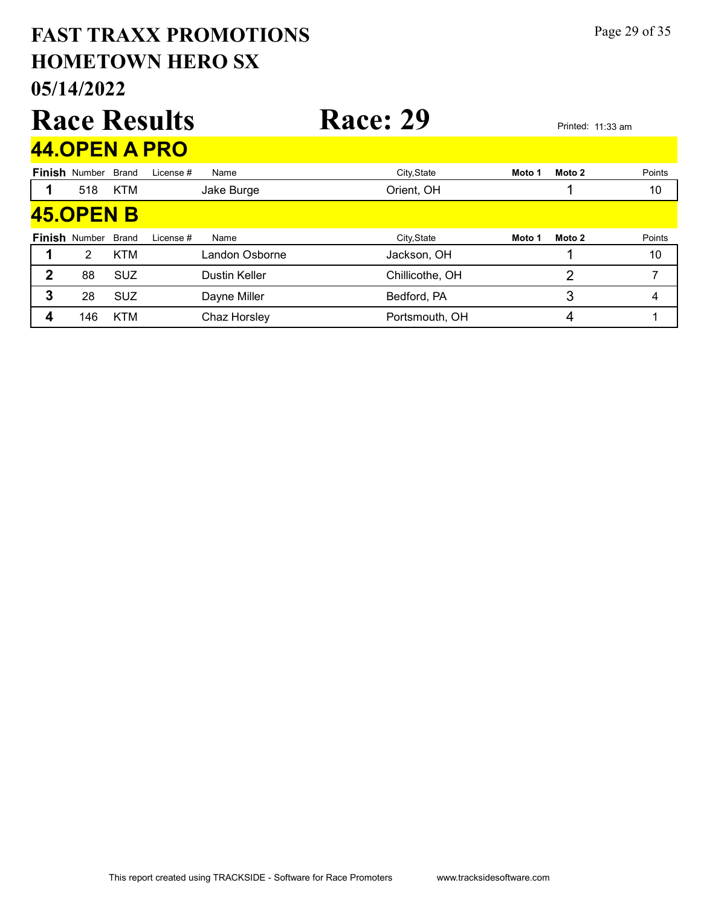#### 05/14/2022 HOMETOWN HERO SX FAST TRAXX PROMOTIONS Page 29 of 35 Race Results Race: 29 Printed: 11:33 am Finish Number Brand 44.OPEN A PRO Brand License # Name City,State **Moto 1 Moto 2** Points 1 518 KTM Jake Burge Corient, OH 1 10 Finish Number Brand 45.OPEN B Brand License # Name City,State Moto 1 Moto 2 Points 1 2 KTM Landon Osborne backson, OH 1 10 2 88 SUZ Dustin Keller Chillicothe, OH 2 7 3 28 SUZ Dayne Miller Bedford, PA 3 3 4 **4** 146 KTM Chaz Horsley **Chaz Horsley Chaz Horsley Constrained Portsmouth, OH 4** 4 1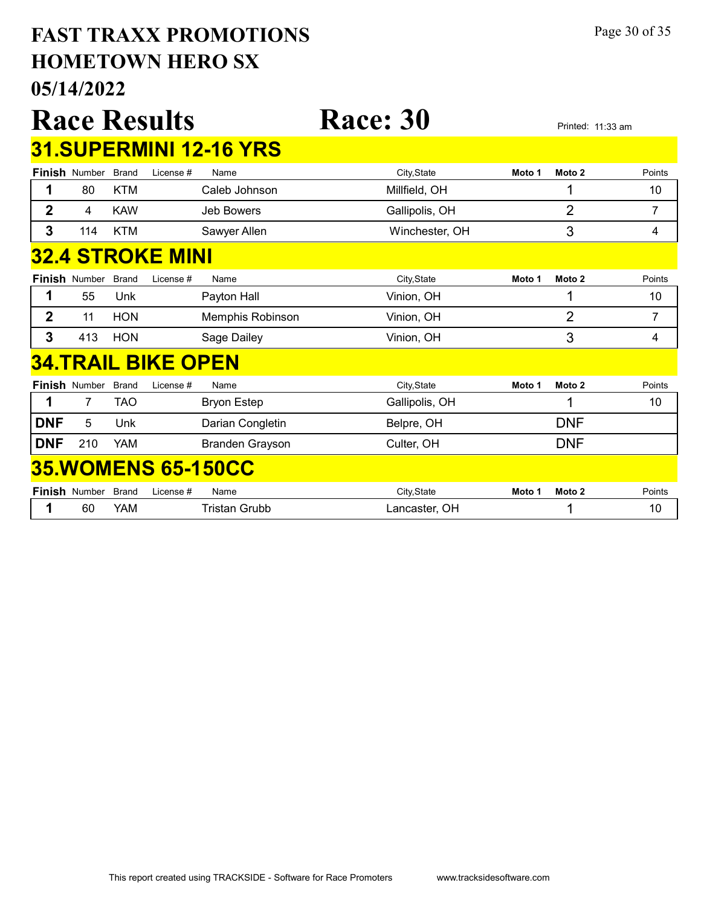#### 05/14/2022 HOMETOWN HERO SX FAST TRAXX PROMOTIONS Page 30 of 35

|                |                         |              | <b>Race Results</b>       |                               | <b>Race: 30</b> |        |                | Printed: 11:33 am |  |  |  |  |
|----------------|-------------------------|--------------|---------------------------|-------------------------------|-----------------|--------|----------------|-------------------|--|--|--|--|
|                |                         |              |                           | <b>31.SUPERMINI 12-16 YRS</b> |                 |        |                |                   |  |  |  |  |
|                | <b>Finish Number</b>    | <b>Brand</b> | License #                 | Name                          | City, State     | Moto 1 | Moto 2         | Points            |  |  |  |  |
| 1              | 80                      | <b>KTM</b>   |                           | Caleb Johnson                 | Millfield, OH   |        | 1              | 10                |  |  |  |  |
| $\overline{2}$ | 4                       | <b>KAW</b>   |                           | <b>Jeb Bowers</b>             | Gallipolis, OH  |        | $\overline{2}$ | $\overline{7}$    |  |  |  |  |
| 3              | 114                     | <b>KTM</b>   |                           | Sawyer Allen                  | Winchester, OH  |        | 3              | 4                 |  |  |  |  |
|                | <b>32.4 STROKE MINI</b> |              |                           |                               |                 |        |                |                   |  |  |  |  |
|                | <b>Finish Number</b>    | <b>Brand</b> | License #                 | Name                          | City, State     | Moto 1 | Moto 2         | Points            |  |  |  |  |
| 1              | 55                      | Unk          |                           | Payton Hall                   | Vinion, OH      |        | 1              | 10                |  |  |  |  |
| $\overline{2}$ | 11                      | <b>HON</b>   |                           | Memphis Robinson              | Vinion, OH      |        | $\overline{2}$ | 7                 |  |  |  |  |
| 3              | 413                     | <b>HON</b>   |                           | Sage Dailey                   | Vinion, OH      |        | 3              | 4                 |  |  |  |  |
|                |                         |              | <b>34.TRAIL BIKE OPEN</b> |                               |                 |        |                |                   |  |  |  |  |
|                | Finish Number           | <b>Brand</b> | License #                 | Name                          | City, State     | Moto 1 | Moto 2         | Points            |  |  |  |  |
| 1              | $\overline{7}$          | <b>TAO</b>   |                           | <b>Bryon Estep</b>            | Gallipolis, OH  |        |                | 10                |  |  |  |  |
| <b>DNF</b>     | 5                       | Unk          |                           | Darian Congletin              | Belpre, OH      |        | <b>DNF</b>     |                   |  |  |  |  |
| <b>DNF</b>     | 210                     | <b>YAM</b>   |                           | <b>Branden Grayson</b>        | Culter, OH      |        | <b>DNF</b>     |                   |  |  |  |  |
|                |                         |              |                           | <b>35. WOMENS 65-150CC</b>    |                 |        |                |                   |  |  |  |  |
|                | <b>Finish Number</b>    | <b>Brand</b> | License #                 | Name                          | City, State     | Moto 1 | Moto 2         | Points            |  |  |  |  |
| 1              | 60                      | <b>YAM</b>   |                           | <b>Tristan Grubb</b>          | Lancaster, OH   |        | 1              | 10                |  |  |  |  |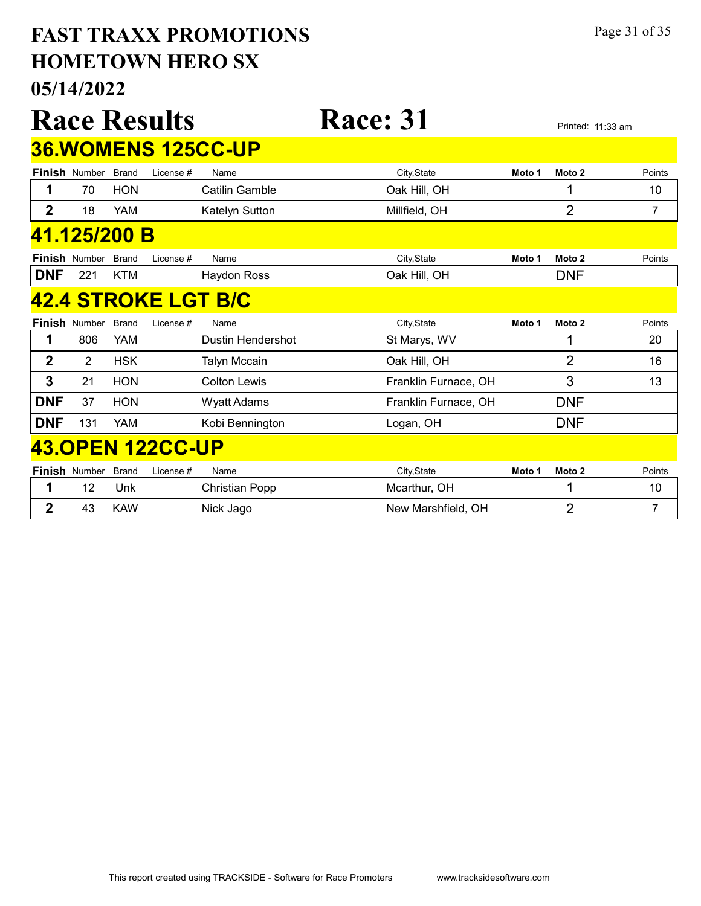#### 05/14/2022 HOMETOWN HERO SX FAST TRAXX PROMOTIONS Page 31 of 35

Race Results Race: 31 Printed: 11:33 am Finish Number Brand 36.WOMENS 125CC-UP Brand License # Name City,State **Moto 1 Moto 2** Points 1 70 HON Catilin Gamble Cambia Care Cak Hill, OH 1 10 2 18 YAM Katelyn Sutton Millfield, OH 7 2 7 Finish Number Brand 41.125/200 B Brand License # Name City,State **Moto 1 Moto 2** Points **DNF** 221 KTM Haydon Ross **Oak Hill, OH DNF Finish Number Brand** 42.4 STROKE LGT B/C Brand License # Name City,State **Moto 1 Moto 2** Points 1 806 YAM Dustin Hendershot St Marys, WV 1 1 20 2 2 HSK Talyn Mccain Cak Hill, OH 2 16 3 21 HON Colton Lewis **Franklin Furnace, OH** 3 3 3 DNF 37 HON Wyatt Adams Franklin Furnace, OH DNF

#### 43.OPEN 122CC-UP

| <b>Finish Number Brand</b> |            | License #<br>Name | City.State         | Moto 1 | Moto 2 | Points |
|----------------------------|------------|-------------------|--------------------|--------|--------|--------|
|                            | Unk        | Christian Popp    | Mcarthur, OH       |        |        | 10     |
| 43                         | <b>KAW</b> | Nick Jago         | New Marshfield, OH |        |        |        |

**DNF** 131 YAM Kobi Bennington Logan, OH DNF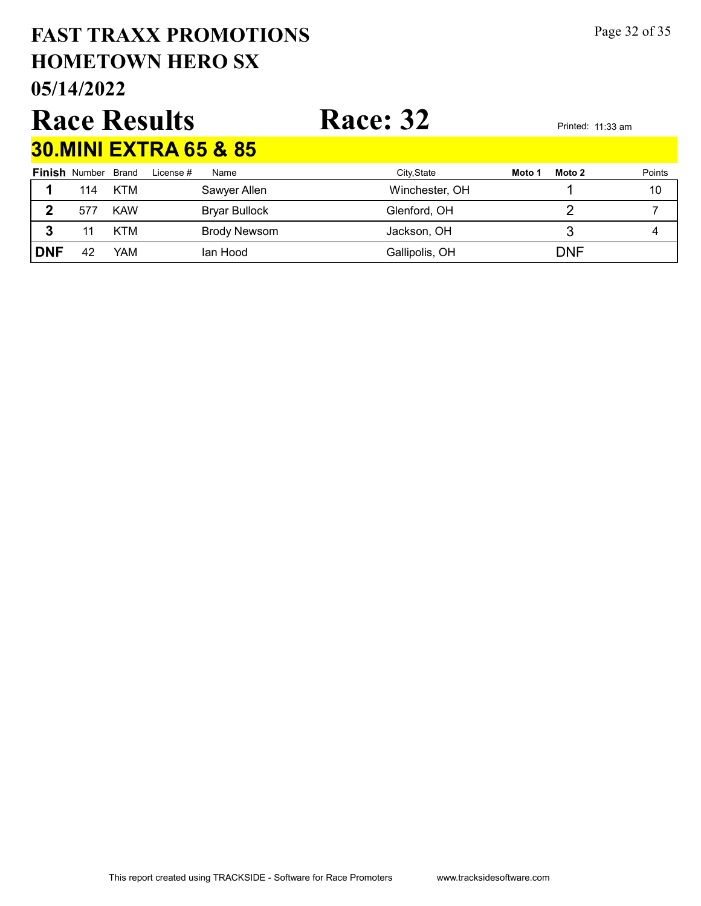# HOMETOWN HERO SX FAST TRAXX PROMOTIONS Page 32 of 35

05/14/2022

## Race Results Race: 32 Printed: 11:33 am 30.MINI EXTRA 65 & 85

|            | <b>Finish Number Brand</b> |            | License # | Name          | City, State    | Moto 1 | Moto 2     | Points |
|------------|----------------------------|------------|-----------|---------------|----------------|--------|------------|--------|
|            | 114                        | KTM        |           | Sawyer Allen  | Winchester, OH |        |            | 10     |
| כי         | 577                        | <b>KAW</b> |           | Bryar Bullock | Glenford, OH   |        |            |        |
|            |                            | KTM        |           | Brody Newsom  | Jackson, OH    |        |            |        |
| <b>DNF</b> | 42                         | YAM        |           | lan Hood      | Gallipolis, OH |        | <b>DNF</b> |        |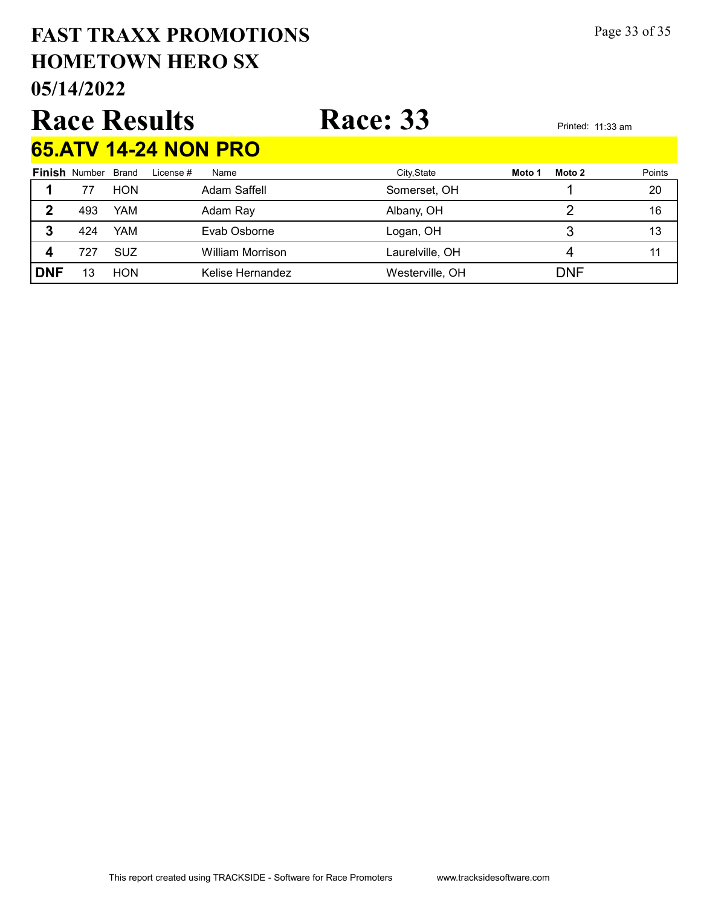# HOMETOWN HERO SX FAST TRAXX PROMOTIONS Page 33 of 35

05/14/2022

# Race Results Race: 33 Printed: 11:33 am 65.ATV 14-24 NON PRO

|            |                            |            |           | <u>UU.AI YI 1774 INVINI INV</u> |                 |        |            |        |
|------------|----------------------------|------------|-----------|---------------------------------|-----------------|--------|------------|--------|
|            | <b>Finish Number Brand</b> |            | License # | Name                            | City, State     | Moto 1 | Moto 2     | Points |
|            |                            | <b>HON</b> |           | Adam Saffell                    | Somerset, OH    |        |            | 20     |
| 2          | 493                        | YAM        |           | Adam Ray                        | Albany, OH      |        |            | 16     |
| 3          | 424                        | YAM        |           | Evab Osborne                    | Logan, OH       |        |            | 13     |
| 4          | 727                        | <b>SUZ</b> |           | <b>William Morrison</b>         | Laurelville, OH |        |            |        |
| <b>DNF</b> | 13                         | <b>HON</b> |           | Kelise Hernandez                | Westerville, OH |        | <b>DNF</b> |        |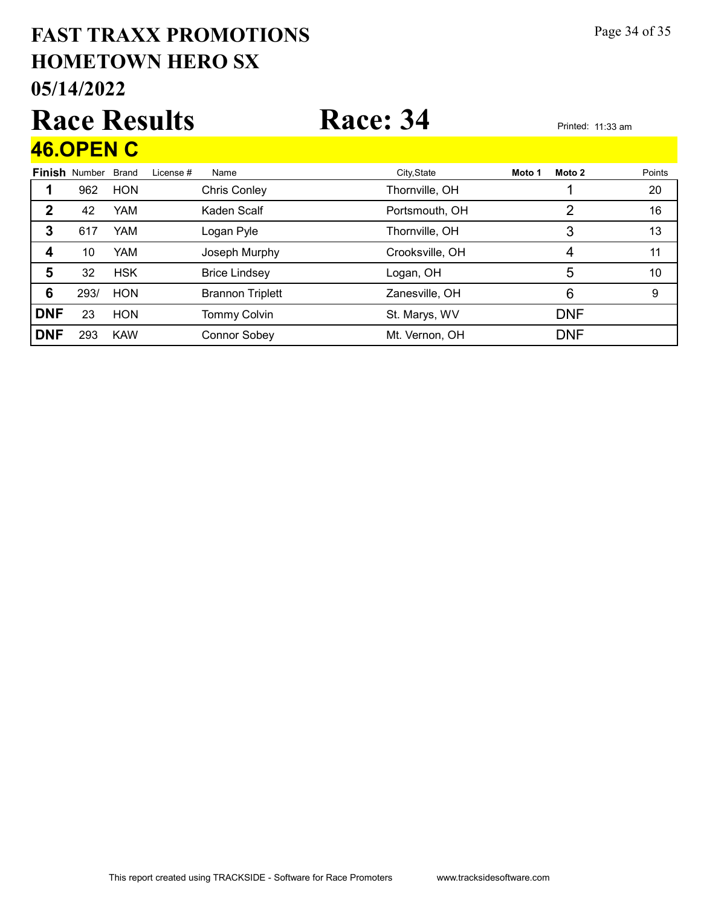#### 05/14/2022 HOMETOWN HERO SX FAST TRAXX PROMOTIONS Page 34 of 35 Race Results Race: 34 Printed: 11:33 am Finish Number Brand 46.OPEN C Brand License # Name City,State **Moto 1 Moto 2** Points 1 962 HON Chris Conley Chris Conley Thornville, OH 1 20 2 42 YAM Kaden Scalf Portsmouth, OH 2 16 3 617 YAM Logan Pyle **Thornville, OH** 13 3 13 4 10 YAM Joseph Murphy Crooksville, OH 4 4 11 5 32 HSK Brice Lindsey **Logan, OH** 10 6 293/ HON Brannon Triplett 2nnesville, OH 6 9 **DNF** 23 HON Tommy Colvin St. Marys, WV DNF DNF 293 KAW Connor Sobey Mt. Vernon, OH DNF